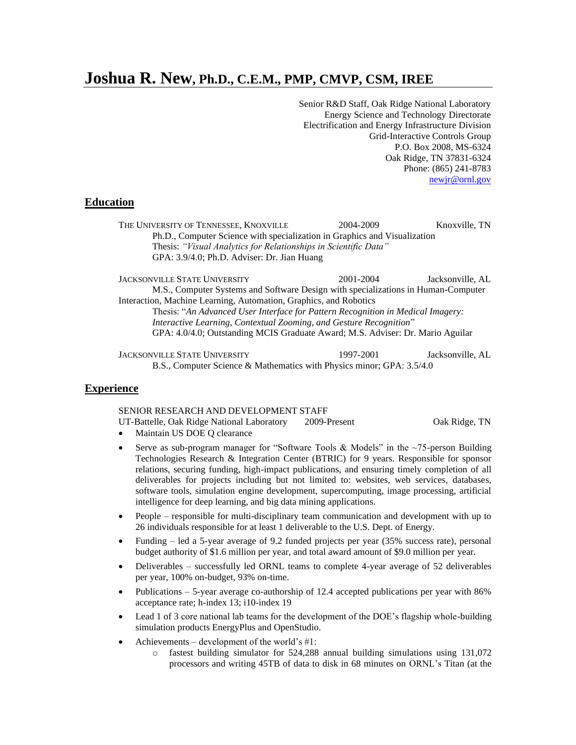# **Joshua R. New, Ph.D., C.E.M., PMP, CMVP, CSM, IREE**

Senior R&D Staff, Oak Ridge National Laboratory Energy Science and Technology Directorate Electrification and Energy Infrastructure Division Grid-Interactive Controls Group P.O. Box 2008, MS-6324 Oak Ridge, TN 37831-6324 Phone: (865) 241-8783 [newjr@ornl.gov](mailto:newjr@ornl.gov)

## **Education**

THE UNIVERSITY OF TENNESSEE, KNOXVILLE 2004-2009 Knoxville, TN Ph.D., Computer Science with specialization in Graphics and Visualization Thesis: *"Visual Analytics for Relationships in Scientific Data"* GPA: 3.9/4.0; Ph.D. Adviser: Dr. Jian Huang

JACKSONVILLE STATE UNIVERSITY 2001-2004 Jacksonville, AL M.S., Computer Systems and Software Design with specializations in Human-Computer Interaction, Machine Learning, Automation, Graphics, and Robotics Thesis: "*An Advanced User Interface for Pattern Recognition in Medical Imagery: Interactive Learning, Contextual Zooming, and Gesture Recognition*" GPA: 4.0/4.0; Outstanding MCIS Graduate Award; M.S. Adviser: Dr. Mario Aguilar

JACKSONVILLE STATE UNIVERSITY 1997-2001 Jacksonville, AL B.S., Computer Science & Mathematics with Physics minor; GPA: 3.5/4.0

## **Experience**

SENIOR RESEARCH AND DEVELOPMENT STAFF

UT-Battelle, Oak Ridge National Laboratory 2009-Present Oak Ridge, TN

- Maintain US DOE Q clearance
- Serve as sub-program manager for "Software Tools & Models" in the  $\sim$ 75-person Building Technologies Research & Integration Center (BTRIC) for 9 years. Responsible for sponsor relations, securing funding, high-impact publications, and ensuring timely completion of all deliverables for projects including but not limited to: websites, web services, databases, software tools, simulation engine development, supercomputing, image processing, artificial intelligence for deep learning, and big data mining applications.
- People responsible for multi-disciplinary team communication and development with up to 26 individuals responsible for at least 1 deliverable to the U.S. Dept. of Energy.
- Funding led a 5-year average of 9.2 funded projects per year (35% success rate), personal budget authority of \$1.6 million per year, and total award amount of \$9.0 million per year.
- Deliverables successfully led ORNL teams to complete 4-year average of 52 deliverables per year, 100% on-budget, 93% on-time.
- Publications 5-year average co-authorship of 12.4 accepted publications per year with 86% acceptance rate; h-index 13; i10-index 19
- Lead 1 of 3 core national lab teams for the development of the DOE's flagship whole-building simulation products EnergyPlus and OpenStudio.
- Achievements development of the world's #1:
	- o fastest building simulator for 524,288 annual building simulations using 131,072 processors and writing 45TB of data to disk in 68 minutes on ORNL's Titan (at the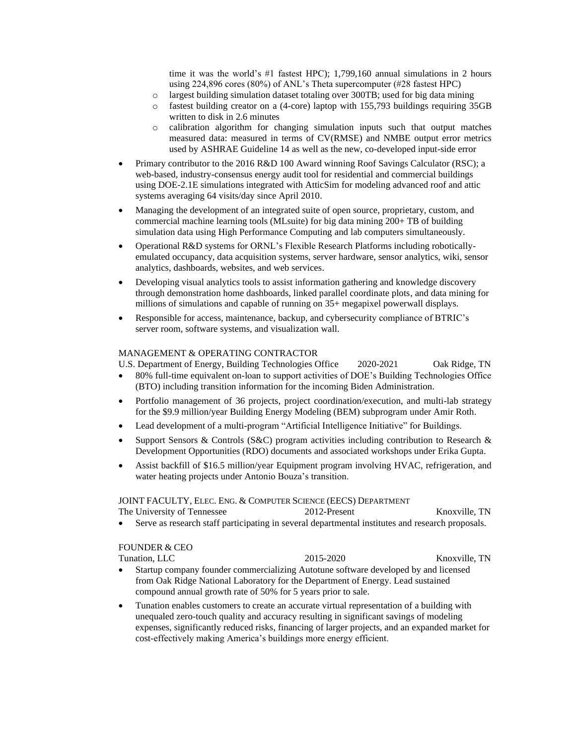time it was the world's #1 fastest HPC); 1,799,160 annual simulations in 2 hours using 224,896 cores (80%) of ANL's Theta supercomputer (#28 fastest HPC)

- o largest building simulation dataset totaling over 300TB; used for big data mining
- o fastest building creator on a (4-core) laptop with 155,793 buildings requiring 35GB written to disk in 2.6 minutes
- o calibration algorithm for changing simulation inputs such that output matches measured data: measured in terms of CV(RMSE) and NMBE output error metrics used by ASHRAE Guideline 14 as well as the new, co-developed input-side error
- Primary contributor to the 2016 R&D 100 Award winning Roof Savings Calculator (RSC); a web-based, industry-consensus energy audit tool for residential and commercial buildings using DOE-2.1E simulations integrated with AtticSim for modeling advanced roof and attic systems averaging 64 visits/day since April 2010.
- Managing the development of an integrated suite of open source, proprietary, custom, and commercial machine learning tools (MLsuite) for big data mining 200+ TB of building simulation data using High Performance Computing and lab computers simultaneously.
- Operational R&D systems for ORNL's Flexible Research Platforms including roboticallyemulated occupancy, data acquisition systems, server hardware, sensor analytics, wiki, sensor analytics, dashboards, websites, and web services.
- Developing visual analytics tools to assist information gathering and knowledge discovery through demonstration home dashboards, linked parallel coordinate plots, and data mining for millions of simulations and capable of running on 35+ megapixel powerwall displays.
- Responsible for access, maintenance, backup, and cybersecurity compliance of BTRIC's server room, software systems, and visualization wall.

## MANAGEMENT & OPERATING CONTRACTOR

U.S. Department of Energy, Building Technologies Office 2020-2021 Oak Ridge, TN

- 80% full-time equivalent on-loan to support activities of DOE's Building Technologies Office (BTO) including transition information for the incoming Biden Administration.
- Portfolio management of 36 projects, project coordination/execution, and multi-lab strategy for the \$9.9 million/year Building Energy Modeling (BEM) subprogram under Amir Roth.
- Lead development of a multi-program "Artificial Intelligence Initiative" for Buildings.
- Support Sensors & Controls (S&C) program activities including contribution to Research & Development Opportunities (RDO) documents and associated workshops under Erika Gupta.
- Assist backfill of \$16.5 million/year Equipment program involving HVAC, refrigeration, and water heating projects under Antonio Bouza's transition.

#### JOINT FACULTY, ELEC. ENG. & COMPUTER SCIENCE (EECS) DEPARTMENT

The University of Tennessee 2012-Present 2012-Present Knoxville, TN

• Serve as research staff participating in several departmental institutes and research proposals.

## FOUNDER & CEO

- Tunation, LLC 2015-2020 Knoxville, TN • Startup company founder commercializing Autotune software developed by and licensed from Oak Ridge National Laboratory for the Department of Energy. Lead sustained compound annual growth rate of 50% for 5 years prior to sale.
- Tunation enables customers to create an accurate virtual representation of a building with unequaled zero-touch quality and accuracy resulting in significant savings of modeling expenses, significantly reduced risks, financing of larger projects, and an expanded market for cost-effectively making America's buildings more energy efficient.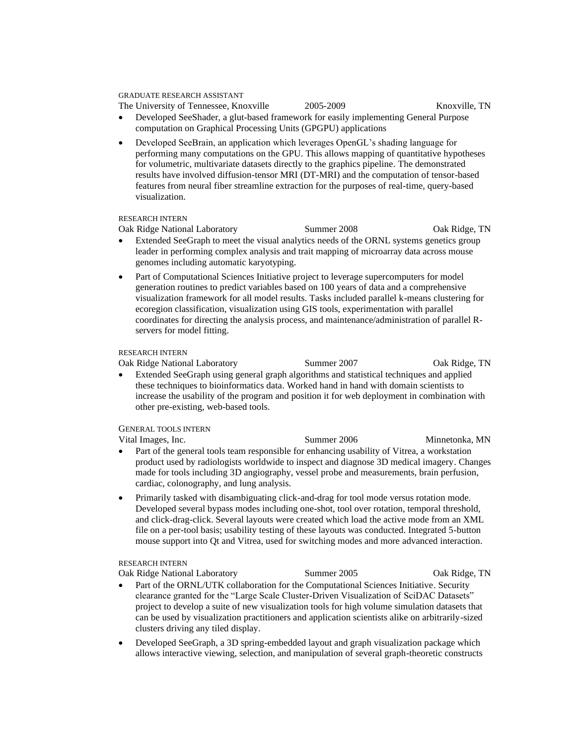GRADUATE RESEARCH ASSISTANT

```
The University of Tennessee, Knoxville 2005-2009 Knoxville, TN
```
• Developed SeeShader, a glut-based framework for easily implementing General Purpose computation on Graphical Processing Units (GPGPU) applications

• Developed SeeBrain, an application which leverages OpenGL's shading language for performing many computations on the GPU. This allows mapping of quantitative hypotheses for volumetric, multivariate datasets directly to the graphics pipeline. The demonstrated results have involved diffusion-tensor MRI (DT-MRI) and the computation of tensor-based features from neural fiber streamline extraction for the purposes of real-time, query-based visualization.

RESEARCH INTERN

Oak Ridge National Laboratory Summer 2008 Oak Ridge, TN

- Extended SeeGraph to meet the visual analytics needs of the ORNL systems genetics group leader in performing complex analysis and trait mapping of microarray data across mouse genomes including automatic karyotyping.
- Part of Computational Sciences Initiative project to leverage supercomputers for model generation routines to predict variables based on 100 years of data and a comprehensive visualization framework for all model results. Tasks included parallel k-means clustering for ecoregion classification, visualization using GIS tools, experimentation with parallel coordinates for directing the analysis process, and maintenance/administration of parallel Rservers for model fitting.

#### RESEARCH INTERN

Oak Ridge National Laboratory Summer 2007 Oak Ridge, TN

• Extended SeeGraph using general graph algorithms and statistical techniques and applied these techniques to bioinformatics data. Worked hand in hand with domain scientists to increase the usability of the program and position it for web deployment in combination with other pre-existing, web-based tools.

## GENERAL TOOLS INTERN

Vital Images, Inc. The Summer 2006 Minnetonka, MN

- Part of the general tools team responsible for enhancing usability of Vitrea, a workstation product used by radiologists worldwide to inspect and diagnose 3D medical imagery. Changes made for tools including 3D angiography, vessel probe and measurements, brain perfusion, cardiac, colonography, and lung analysis.
- Primarily tasked with disambiguating click-and-drag for tool mode versus rotation mode. Developed several bypass modes including one-shot, tool over rotation, temporal threshold, and click-drag-click. Several layouts were created which load the active mode from an XML file on a per-tool basis; usability testing of these layouts was conducted. Integrated 5-button mouse support into Qt and Vitrea, used for switching modes and more advanced interaction.

#### RESEARCH INTERN

Oak Ridge National Laboratory Summer 2005 Oak Ridge, TN

- Part of the ORNL/UTK collaboration for the Computational Sciences Initiative. Security clearance granted for the "Large Scale Cluster-Driven Visualization of SciDAC Datasets" project to develop a suite of new visualization tools for high volume simulation datasets that can be used by visualization practitioners and application scientists alike on arbitrarily-sized clusters driving any tiled display.
- Developed SeeGraph, a 3D spring-embedded layout and graph visualization package which allows interactive viewing, selection, and manipulation of several graph-theoretic constructs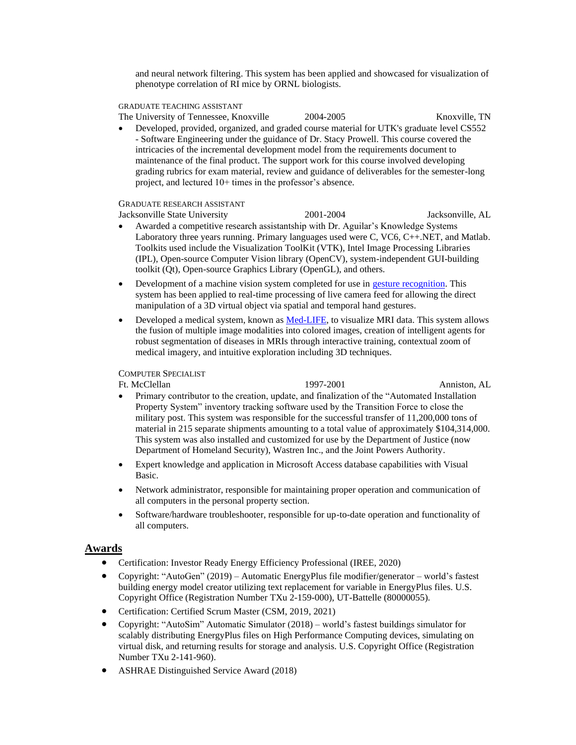and neural network filtering. This system has been applied and showcased for visualization of phenotype correlation of RI mice by ORNL biologists.

#### GRADUATE TEACHING ASSISTANT

The University of Tennessee, Knoxville 2004-2005 Knoxville, TN

• Developed, provided, organized, and graded course material for UTK's graduate level CS552 - Software Engineering under the guidance of Dr. Stacy Prowell. This course covered the intricacies of the incremental development model from the requirements document to maintenance of the final product. The support work for this course involved developing grading rubrics for exam material, review and guidance of deliverables for the semester-long project, and lectured 10+ times in the professor's absence.

## GRADUATE RESEARCH ASSISTANT

- Jacksonville State University 2001-2004 Jacksonville, AL • Awarded a competitive research assistantship with Dr. Aguilar's Knowledge Systems Laboratory three years running. Primary languages used were C, VC6, C++.NET, and Matlab. Toolkits used include the Visualization ToolKit (VTK), Intel Image Processing Libraries (IPL), Open-source Computer Vision library (OpenCV), system-independent GUI-building toolkit (Qt), Open-source Graphics Library (OpenGL), and others.
- Development of a machine vision system completed for use in [gesture recognition.](http://ksl.jsu.edu/projects/gesture/index.html) This system has been applied to real-time processing of live camera feed for allowing the direct manipulation of a 3D virtual object via spatial and temporal hand gestures.
- Developed a medical system, known as [Med-LIFE,](http://ksl.jsu.edu/projects/medical/visualization.html) to visualize MRI data. This system allows the fusion of multiple image modalities into colored images, creation of intelligent agents for robust segmentation of diseases in MRIs through interactive training, contextual zoom of medical imagery, and intuitive exploration including 3D techniques.

#### COMPUTER SPECIALIST

Ft. McClellan 1997-2001 Anniston, AL

- Primary contributor to the creation, update, and finalization of the "Automated Installation Property System" inventory tracking software used by the Transition Force to close the military post. This system was responsible for the successful transfer of 11,200,000 tons of material in 215 separate shipments amounting to a total value of approximately \$104,314,000. This system was also installed and customized for use by the Department of Justice (now Department of Homeland Security), Wastren Inc., and the Joint Powers Authority.
- Expert knowledge and application in Microsoft Access database capabilities with Visual Basic.
- Network administrator, responsible for maintaining proper operation and communication of all computers in the personal property section.
- Software/hardware troubleshooter, responsible for up-to-date operation and functionality of all computers.

## **Awards**

- Certification: Investor Ready Energy Efficiency Professional (IREE, 2020)
- Copyright: "AutoGen" (2019) Automatic EnergyPlus file modifier/generator world's fastest building energy model creator utilizing text replacement for variable in EnergyPlus files. U.S. Copyright Office (Registration Number TXu 2-159-000), UT-Battelle (80000055).
- Certification: Certified Scrum Master (CSM, 2019, 2021)
- Copyright: "AutoSim" Automatic Simulator (2018) world's fastest buildings simulator for scalably distributing EnergyPlus files on High Performance Computing devices, simulating on virtual disk, and returning results for storage and analysis. U.S. Copyright Office (Registration Number TXu 2-141-960).
- ASHRAE Distinguished Service Award (2018)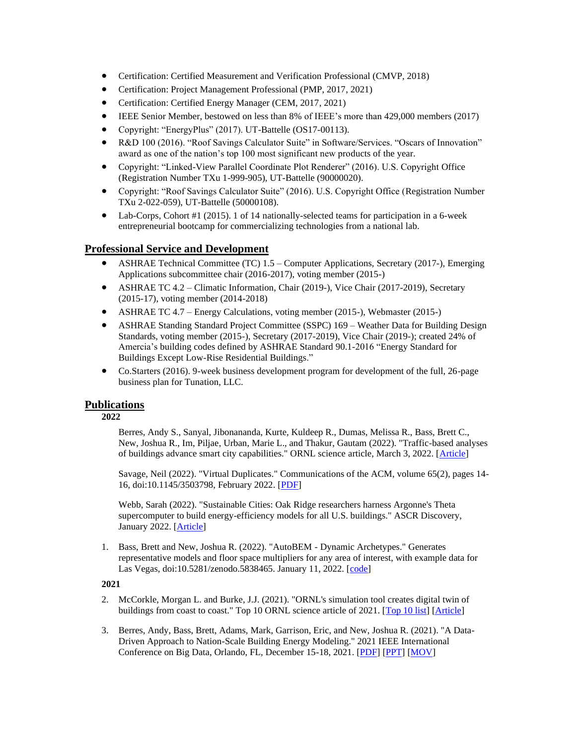- Certification: Certified Measurement and Verification Professional (CMVP, 2018)
- Certification: Project Management Professional (PMP, 2017, 2021)
- Certification: Certified Energy Manager (CEM, 2017, 2021)
- IEEE Senior Member, bestowed on less than 8% of IEEE's more than 429,000 members (2017)
- Copyright: "EnergyPlus" (2017). UT-Battelle (OS17-00113).
- R&D 100 (2016). "Roof Savings Calculator Suite" in Software/Services. "Oscars of Innovation" award as one of the nation's top 100 most significant new products of the year.
- Copyright: "Linked-View Parallel Coordinate Plot Renderer" (2016). U.S. Copyright Office (Registration Number TXu 1-999-905), UT-Battelle (90000020).
- Copyright: "Roof Savings Calculator Suite" (2016). U.S. Copyright Office (Registration Number TXu 2-022-059), UT-Battelle (50000108).
- Lab-Corps, Cohort #1 (2015). 1 of 14 nationally-selected teams for participation in a 6-week entrepreneurial bootcamp for commercializing technologies from a national lab.

## **Professional Service and Development**

- ASHRAE Technical Committee (TC) 1.5 Computer Applications, Secretary (2017-), Emerging Applications subcommittee chair (2016-2017), voting member (2015-)
- ASHRAE TC 4.2 Climatic Information, Chair (2019-), Vice Chair (2017-2019), Secretary (2015-17), voting member (2014-2018)
- ASHRAE TC 4.7 Energy Calculations, voting member (2015-), Webmaster (2015-)
- ASHRAE Standing Standard Project Committee (SSPC) 169 Weather Data for Building Design Standards, voting member (2015-), Secretary (2017-2019), Vice Chair (2019-); created 24% of Amercia's building codes defined by ASHRAE Standard 90.1-2016 "Energy Standard for Buildings Except Low-Rise Residential Buildings."
- Co.Starters (2016). 9-week business development program for development of the full, 26-page business plan for Tunation, LLC.

## **Publications**

**2022**

Berres, Andy S., Sanyal, Jibonananda, Kurte, Kuldeep R., Dumas, Melissa R., Bass, Brett C., New, Joshua R., Im, Piljae, Urban, Marie L., and Thakur, Gautam (2022). "Traffic-based analyses of buildings advance smart city capabilities." ORNL science article, March 3, 2022. [\[Article\]](https://www.newswise.com/doescience/traffic-based-analyses-of-buildings-advance-smart-city-capabilities)

Savage, Neil (2022). "Virtual Duplicates." Communications of the ACM, volume 65(2), pages 14- 16, doi:10.1145/3503798, February 2022. [\[PDF\]](https://cacm.acm.org/magazines/2022/2/258219-virtual-duplicates/fulltext)

Webb, Sarah (2022). "Sustainable Cities: Oak Ridge researchers harness Argonne's Theta supercomputer to build energy-efficiency models for all U.S. buildings." ASCR Discovery, January 2022. [\[Article\]](https://ascr-discovery.org/2022/01/sustainable-cities/)

1. Bass, Brett and New, Joshua R. (2022). "AutoBEM - Dynamic Archetypes." Generates representative models and floor space multipliers for any area of interest, with example data for Las Vegas, doi:10.5281/zenodo.5838465. January 11, 2022. [\[code\]](https://zenodo.org/badge/latestdoi/428771973)

## **2021**

- 2. McCorkle, Morgan L. and Burke, J.J. (2021). "ORNL's simulation tool creates digital twin of buildings from coast to coast." Top 10 ORNL science article of 2021. [\[Top 10 list\]](https://www.ornl.gov/news/top-10-science-stories-2021) [\[Article\]](https://www.ornl.gov/news/ornls-simulation-tool-creates-digital-twin-buildings-coast-coast)
- 3. Berres, Andy, Bass, Brett, Adams, Mark, Garrison, Eric, and New, Joshua R. (2021). "A Data-Driven Approach to Nation-Scale Building Energy Modeling." 2021 IEEE International Conference on Big Data, Orlando, FL, December 15-18, 2021. [\[PDF\]](http://web.eecs.utk.edu/~jnew1/publications/2021_BigData_DDUBEM.pdf) [\[PPT\]](http://web.eecs.utk.edu/~jnew1/presentations/2021_BigData_DDUBEM.pdf) [\[MOV\]](http://web.eecs.utk.edu/~jnew1/presentations/2021_BigData_DDUBEM.mp4)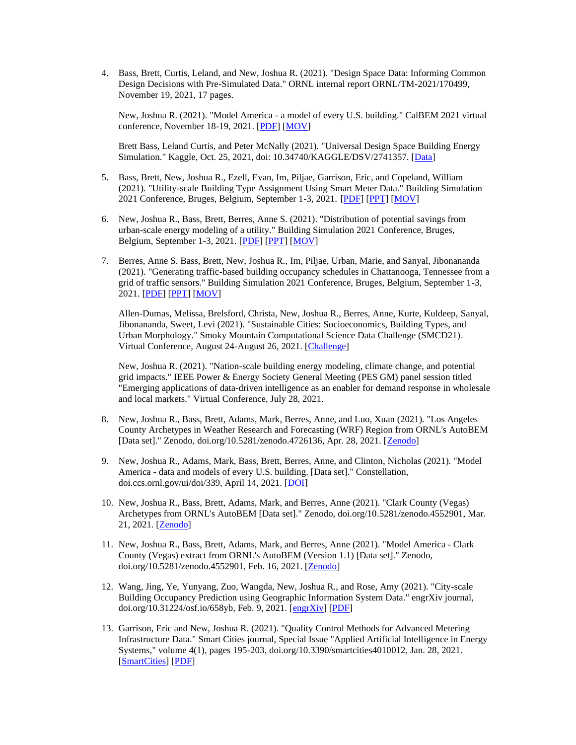4. Bass, Brett, Curtis, Leland, and New, Joshua R. (2021). "Design Space Data: Informing Common Design Decisions with Pre-Simulated Data." ORNL internal report ORNL/TM-2021/170499, November 19, 2021, 17 pages.

New, Joshua R. (2021). "Model America - a model of every U.S. building." CalBEM 2021 virtual conference, November 18-19, 2021. [\[PDF\]](http://web.eecs.utk.edu/~jnew1/presentations/2021_CalBEM_ModelAmerica.pdf) [\[MOV\]](http://web.eecs.utk.edu/~jnew1/presentations/2021_CalBEM_ModelAmerica.mp4)

Brett Bass, Leland Curtis, and Peter McNally (2021). "Universal Design Space Building Energy Simulation." Kaggle, Oct. 25, 2021, doi: 10.34740/KAGGLE/DSV/2741357. [\[Data\]](https://www.kaggle.com/petermcnallysg/universal-design-space-building-energy-simulation/metadata)

- 5. Bass, Brett, New, Joshua R., Ezell, Evan, Im, Piljae, Garrison, Eric, and Copeland, William (2021). "Utility-scale Building Type Assignment Using Smart Meter Data." Building Simulation 2021 Conference, Bruges, Belgium, September 1-3, 2021. [\[PDF\]](http://web.eecs.utk.edu/~jnew1/publications/2021_BS_AI_BuildingType.pdf) [\[PPT\]](http://web.eecs.utk.edu/~jnew1/presentations/2021_BS_AI_BuildingType.pdf) [\[MOV\]](http://web.eecs.utk.edu/~jnew1/presentations/2021_BS_AI_BuildingType.mp4)
- 6. New, Joshua R., Bass, Brett, Berres, Anne S. (2021). "Distribution of potential savings from urban-scale energy modeling of a utility." Building Simulation 2021 Conference, Bruges, Belgium, September 1-3, 2021. [\[PDF\]](http://web.eecs.utk.edu/~jnew1/publications/2021_BS_Distribution.pdf) [\[PPT\]](http://web.eecs.utk.edu/~jnew1/presentations/2021_BS_Distribution.pdf) [\[MOV\]](http://web.eecs.utk.edu/~jnew1/presentations/2021_BS_Distribution.mp4)
- 7. Berres, Anne S. Bass, Brett, New, Joshua R., Im, Piljae, Urban, Marie, and Sanyal, Jibonananda (2021). "Generating traffic-based building occupancy schedules in Chattanooga, Tennessee from a grid of traffic sensors." Building Simulation 2021 Conference, Bruges, Belgium, September 1-3, 2021. [\[PDF\]](http://web.eecs.utk.edu/~jnew1/publications/2021_BS_Vehicles.pdf) [\[PPT\]](http://web.eecs.utk.edu/~jnew1/presentations/2021_BS_Vehicles.pdf) [\[MOV\]](http://web.eecs.utk.edu/~jnew1/presentations/2021_BS_Vehicles.mp4)

Allen-Dumas, Melissa, Brelsford, Christa, New, Joshua R., Berres, Anne, Kurte, Kuldeep, Sanyal, Jibonananda, Sweet, Levi (2021). "Sustainable Cities: Socioeconomics, Building Types, and Urban Morphology." Smoky Mountain Computational Science Data Challenge (SMCD21). Virtual Conference, August 24-August 26, 2021. [\[Challenge\]](https://smc-datachallenge.ornl.gov/2021-challenge-5/)

New, Joshua R. (2021). "Nation-scale building energy modeling, climate change, and potential grid impacts." IEEE Power & Energy Society General Meeting (PES GM) panel session titled "Emerging applications of data-driven intelligence as an enabler for demand response in wholesale and local markets." Virtual Conference, July 28, 2021.

- 8. New, Joshua R., Bass, Brett, Adams, Mark, Berres, Anne, and Luo, Xuan (2021). "Los Angeles County Archetypes in Weather Research and Forecasting (WRF) Region from ORNL's AutoBEM [Data set]." Zenodo, doi.org/10.5281/zenodo.4726136, Apr. 28, 2021. [\[Zenodo\]](http://doi.org/10.5281/zenodo.4726136)
- 9. New, Joshua R., Adams, Mark, Bass, Brett, Berres, Anne, and Clinton, Nicholas (2021). "Model America - data and models of every U.S. building. [Data set]." Constellation, doi.ccs.ornl.gov/ui/doi/339, April 14, 2021. [\[DOI\]](https://doi.ccs.ornl.gov/ui/doi/339)
- 10. New, Joshua R., Bass, Brett, Adams, Mark, and Berres, Anne (2021). "Clark County (Vegas) Archetypes from ORNL's AutoBEM [Data set]." Zenodo, doi.org/10.5281/zenodo.4552901, Mar. 21, 2021. [\[Zenodo\]](http://doi.org/10.5281/zenodo.4626138)
- 11. New, Joshua R., Bass, Brett, Adams, Mark, and Berres, Anne (2021). "Model America Clark County (Vegas) extract from ORNL's AutoBEM (Version 1.1) [Data set]." Zenodo, doi.org/10.5281/zenodo.4552901, Feb. 16, 2021. [\[Zenodo\]](https://doi.org/10.5281/zenodo.4552901)
- 12. Wang, Jing, Ye, Yunyang, Zuo, Wangda, New, Joshua R., and Rose, Amy (2021). "City-scale Building Occupancy Prediction using Geographic Information System Data." engrXiv journal, doi.org/10.31224/osf.io/658yb, Feb. 9, 2021. [\[engrXiv\]](https://engrxiv.org/658yb/) [\[PDF\]](http://web.eecs.utk.edu/~jnew1/publications/2021_engrXiv_occupancy.pdf)
- 13. Garrison, Eric and New, Joshua R. (2021). "Quality Control Methods for Advanced Metering Infrastructure Data." Smart Cities journal, Special Issue "Applied Artificial Intelligence in Energy Systems," volume 4(1), pages 195-203, doi.org/10.3390/smartcities4010012, Jan. 28, 2021. [\[SmartCities\]](https://www.mdpi.com/2624-6511/4/1/12/htm) [\[PDF\]](http://web.eecs.utk.edu/~jnew1/publications/2021_SmartCities_AMI.pdf)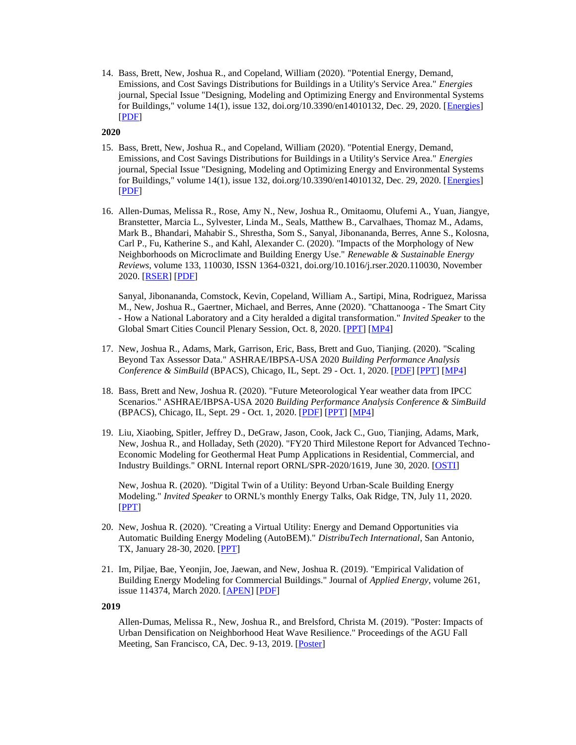14. Bass, Brett, New, Joshua R., and Copeland, William (2020). "Potential Energy, Demand, Emissions, and Cost Savings Distributions for Buildings in a Utility's Service Area." *Energies* journal, Special Issue "Designing, Modeling and Optimizing Energy and Environmental Systems for Buildings," volume 14(1), issue 132, doi.org/10.3390/en14010132, Dec. 29, 2020. [*Energies*] [\[PDF\]](http://web.eecs.utk.edu/~jnew1/publications/2020_Energies_EPB.pdf)

#### **2020**

- 15. Bass, Brett, New, Joshua R., and Copeland, William (2020). "Potential Energy, Demand, Emissions, and Cost Savings Distributions for Buildings in a Utility's Service Area." *Energies* journal, Special Issue "Designing, Modeling and Optimizing Energy and Environmental Systems for Buildings," volume 14(1), issue 132, doi.org/10.3390/en14010132, Dec. 29, 2020. [*Energies*] [\[PDF\]](http://web.eecs.utk.edu/~jnew1/publications/2020_Energies_EPB.pdf)
- 16. Allen-Dumas, Melissa R., Rose, Amy N., New, Joshua R., Omitaomu, Olufemi A., Yuan, Jiangye, Branstetter, Marcia L., Sylvester, Linda M., Seals, Matthew B., Carvalhaes, Thomaz M., Adams, Mark B., Bhandari, Mahabir S., Shrestha, Som S., Sanyal, Jibonananda, Berres, Anne S., Kolosna, Carl P., Fu, Katherine S., and Kahl, Alexander C. (2020). "Impacts of the Morphology of New Neighborhoods on Microclimate and Building Energy Use." *Renewable & Sustainable Energy Reviews*, volume 133, 110030, ISSN 1364-0321, doi.org/10.1016/j.rser.2020.110030, November 2020. [\[RSER\]](https://www.sciencedirect.com/science/article/abs/pii/S136403212030321X) [\[PDF\]](http://web.eecs.utk.edu/~jnew1/publications/2020_RESR_Microclimate.pdf)

Sanyal, Jibonananda, Comstock, Kevin, Copeland, William A., Sartipi, Mina, Rodriguez, Marissa M., New, Joshua R., Gaertner, Michael, and Berres, Anne (2020). "Chattanooga - The Smart City - How a National Laboratory and a City heralded a digital transformation." *Invited Speaker* to the Global Smart Cities Council Plenary Session, Oct. 8, 2020. [\[PPT\]](http://web.eecs.utk.edu/~jnew1/presentations/2020_SmartCities_Chattanooga.pdf) [\[MP4\]](http://web.eecs.utk.edu/~jnew1/presentations/2020_SmartCities_Chattanooga.mp4)

- 17. New, Joshua R., Adams, Mark, Garrison, Eric, Bass, Brett and Guo, Tianjing. (2020). "Scaling Beyond Tax Assessor Data." ASHRAE/IBPSA-USA 2020 *Building Performance Analysis Conference & SimBuild* (BPACS), Chicago, IL, Sept. 29 - Oct. 1, 2020. [\[PDF\]](http://web.eecs.utk.edu/~jnew1/publications/2020_BPACS_ScalableData.pdf) [\[PPT\]](http://web.eecs.utk.edu/~jnew1/presentations/2020_BPACS_ScalableData.pdf) [\[MP4\]](http://web.eecs.utk.edu/~jnew1/presentations/2020_BPACS_ScalableData.mp4)
- 18. Bass, Brett and New, Joshua R. (2020). "Future Meteorological Year weather data from IPCC Scenarios." ASHRAE/IBPSA-USA 2020 *Building Performance Analysis Conference & SimBuild* (BPACS), Chicago, IL, Sept. 29 - Oct. 1, 2020. [\[PDF\]](http://web.eecs.utk.edu/~jnew1/publications/2020_BPACS_FMY.pdf) [\[PPT\]](http://web.eecs.utk.edu/~jnew1/presentations/2020_BPACS_FMY.pdf) [\[MP4\]](http://web.eecs.utk.edu/~jnew1/presentations/2020_BPACS_FMY.mp4)
- 19. Liu, Xiaobing, Spitler, Jeffrey D., DeGraw, Jason, Cook, Jack C., Guo, Tianjing, Adams, Mark, New, Joshua R., and Holladay, Seth (2020). "FY20 Third Milestone Report for Advanced Techno-Economic Modeling for Geothermal Heat Pump Applications in Residential, Commercial, and Industry Buildings." ORNL Internal report ORNL/SPR-2020/1619, June 30, 2020. [\[OSTI\]](https://info.ornl.gov/sites/publications/Files/Pub143526.pdf)

New, Joshua R. (2020). "Digital Twin of a Utility: Beyond Urban-Scale Building Energy Modeling." *Invited Speaker* to ORNL's monthly Energy Talks, Oak Ridge, TN, July 11, 2020. [\[PPT\]](http://web.eecs.utk.edu/~jnew1/presentations/2020_EnergyTalk.pdf)

- 20. New, Joshua R. (2020). "Creating a Virtual Utility: Energy and Demand Opportunities via Automatic Building Energy Modeling (AutoBEM)." *DistribuTech International*, San Antonio, TX, January 28-30, 2020. [\[PPT\]](http://web.eecs.utk.edu/~jnew1/presentations/2020_Distributech_VirtualUtility.pdf)
- 21. Im, Piljae, Bae, Yeonjin, Joe, Jaewan, and New, Joshua R. (2019). "Empirical Validation of Building Energy Modeling for Commercial Buildings." Journal of *Applied Energy*, volume 261, issue 114374, March 2020. [\[APEN\]](https://www.sciencedirect.com/science/article/abs/pii/S0306261919320616) [\[PDF\]](http://web.eecs.utk.edu/~jnew1/publications/2020_APEN_BEM_Validation.pdf)

#### **2019**

Allen-Dumas, Melissa R., New, Joshua R., and Brelsford, Christa M. (2019). "Poster: Impacts of Urban Densification on Neighborhood Heat Wave Resilience." Proceedings of the AGU Fall Meeting, San Francisco, CA, Dec. 9-13, 2019. [\[Poster\]](http://web.eecs.utk.edu/~jnew1/publications/2019_AGU_DC_Resilience_poster.pdf)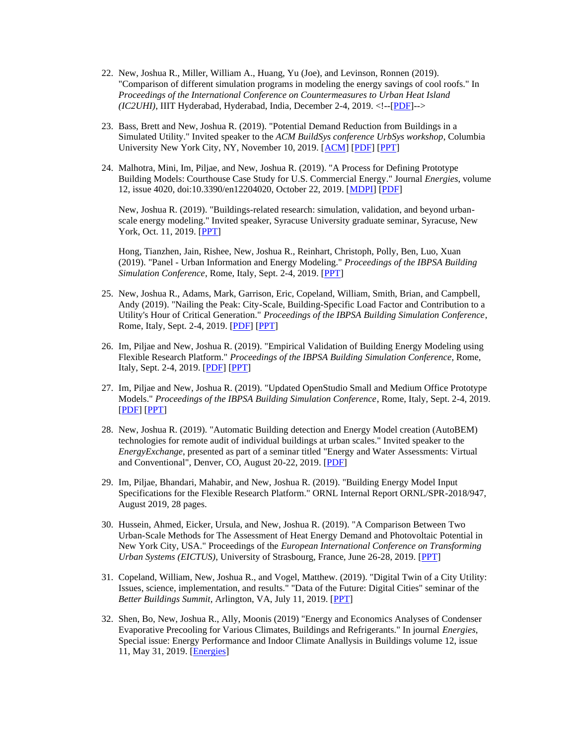- 22. New, Joshua R., Miller, William A., Huang, Yu (Joe), and Levinson, Ronnen (2019). "Comparison of different simulation programs in modeling the energy savings of cool roofs." In *Proceedings of the International Conference on Countermeasures to Urban Heat Island (IC2UHI)*, IIIT Hyderabad, Hyderabad, India, December 2-4, 2019. <!--[\[PDF\]](http://web.eecs.utk.edu/~jnew1/publications/2019_IC2UHI_RSC.pdf)-->
- 23. Bass, Brett and New, Joshua R. (2019). "Potential Demand Reduction from Buildings in a Simulated Utility." Invited speaker to the *ACM BuildSys conference UrbSys workshop*, Columbia University New York City, NY, November 10, 2019. [\[ACM\]](https://dl.acm.org/citation.cfm?id=3363459&preflayout=flat) [\[PDF\]](http://web.eecs.utk.edu/~jnew1/publications/2019_UrbSys_DRforUtility.pdf) [\[PPT\]](http://web.eecs.utk.edu/~jnew1/presentations/2019_UrbSys_DRforUtility.pdf)
- 24. Malhotra, Mini, Im, Piljae, and New, Joshua R. (2019). "A Process for Defining Prototype Building Models: Courthouse Case Study for U.S. Commercial Energy." Journal *Energies*, volume 12, issue 4020, doi:10.3390/en12204020, October 22, 2019. [\[MDPI\]](https://www.mdpi.com/1996-1073/12/20/4020) [\[PDF\]](http://web.eecs.utk.edu/~jnew1/publications/2019_Energies_Courthouse.pdf)

New, Joshua R. (2019). "Buildings-related research: simulation, validation, and beyond urbanscale energy modeling." Invited speaker, Syracuse University graduate seminar, Syracuse, New York, Oct. 11, 2019. [\[PPT\]](http://web.eecs.utk.edu/~jnew1/presentations/2019_Syracuse.pdf)

Hong, Tianzhen, Jain, Rishee, New, Joshua R., Reinhart, Christoph, Polly, Ben, Luo, Xuan (2019). "Panel - Urban Information and Energy Modeling." *Proceedings of the IBPSA Building Simulation Conference*, Rome, Italy, Sept. 2-4, 2019. [\[PPT\]](http://web.eecs.utk.edu/~jnew1/presentations/2019_IBPSA_UBEM_Panel.pdf)

- 25. New, Joshua R., Adams, Mark, Garrison, Eric, Copeland, William, Smith, Brian, and Campbell, Andy (2019). "Nailing the Peak: City-Scale, Building-Specific Load Factor and Contribution to a Utility's Hour of Critical Generation." *Proceedings of the IBPSA Building Simulation Conference*, Rome, Italy, Sept. 2-4, 2019. [\[PDF\]](http://web.eecs.utk.edu/~jnew1/publications/2019_IBPSA_Peak.pdf) [\[PPT\]](http://web.eecs.utk.edu/~jnew1/presentations/2019_IBPSA_Peak.pdf)
- 26. Im, Piljae and New, Joshua R. (2019). "Empirical Validation of Building Energy Modeling using Flexible Research Platform." *Proceedings of the IBPSA Building Simulation Conference*, Rome, Italy, Sept. 2-4, 2019. [\[PDF\]](http://web.eecs.utk.edu/~jnew1/publications/2019_IBPSA_ValidationFRPs.pdf) [\[PPT\]](http://web.eecs.utk.edu/~jnew1/presentations/2019_IBPSA_ValidationFRPs.pdf)
- 27. Im, Piljae and New, Joshua R. (2019). "Updated OpenStudio Small and Medium Office Prototype Models." *Proceedings of the IBPSA Building Simulation Conference*, Rome, Italy, Sept. 2-4, 2019. [\[PDF\]](http://web.eecs.utk.edu/~jnew1/publications/2019_IBPSA_OpenStudioOffice.pdf) [\[PPT\]](http://web.eecs.utk.edu/~jnew1/presentations/2019_IBPSA_OpenStudioOffice.pdf)
- 28. New, Joshua R. (2019). "Automatic Building detection and Energy Model creation (AutoBEM) technologies for remote audit of individual buildings at urban scales." Invited speaker to the *EnergyExchange*, presented as part of a seminar titled "Energy and Water Assessments: Virtual and Conventional", Denver, CO, August 20-22, 2019. [\[PDF\]](http://web.eecs.utk.edu/~jnew1/presentations/2019_EnergyExchange_VirtualAudits.pdf)
- 29. Im, Piljae, Bhandari, Mahabir, and New, Joshua R. (2019). "Building Energy Model Input Specifications for the Flexible Research Platform." ORNL Internal Report ORNL/SPR-2018/947, August 2019, 28 pages.
- 30. Hussein, Ahmed, Eicker, Ursula, and New, Joshua R. (2019). "A Comparison Between Two Urban-Scale Methods for The Assessment of Heat Energy Demand and Photovoltaic Potential in New York City, USA." Proceedings of the *European International Conference on Transforming Urban Systems (EICTUS)*, University of Strasbourg, France, June 26-28, 2019. [\[PPT\]](http://web.eecs.utk.edu/~jnew1/presentations/2019_EICTUS_Urban.pdf)
- 31. Copeland, William, New, Joshua R., and Vogel, Matthew. (2019). "Digital Twin of a City Utility: Issues, science, implementation, and results." "Data of the Future: Digital Cities" seminar of the *Better Buildings Summit*, Arlington, VA, July 11, 2019. [\[PPT\]](http://web.eecs.utk.edu/~jnew1/presentations/2019_BetterBuildingsSummit_EPB.pdf)
- 32. Shen, Bo, New, Joshua R., Ally, Moonis (2019) "Energy and Economics Analyses of Condenser Evaporative Precooling for Various Climates, Buildings and Refrigerants." In journal *Energies*, Special issue: Energy Performance and Indoor Climate Anallysis in Buildings volume 12, issue 11, May 31, 2019. [\[Energies\]](https://www.mdpi.com/1996-1073/12/11/2079/pdf)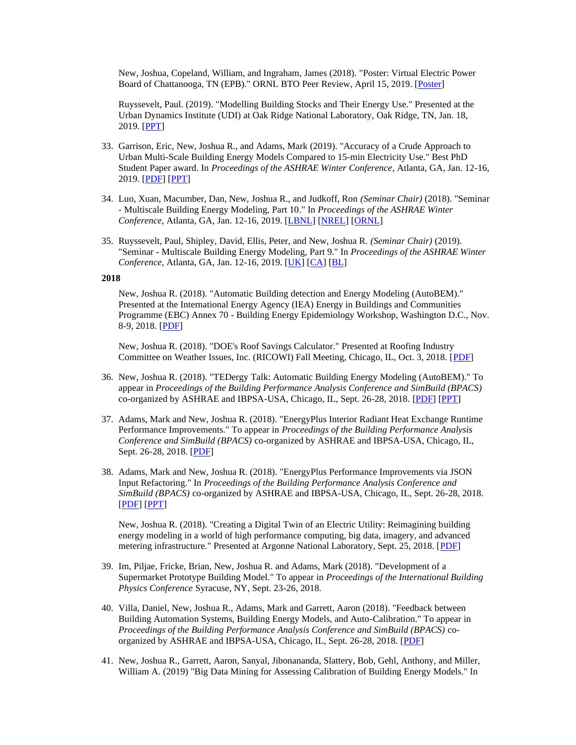New, Joshua, Copeland, William, and Ingraham, James (2018). "Poster: Virtual Electric Power Board of Chattanooga, TN (EPB)." ORNL BTO Peer Review, April 15, 2019. [\[Poster\]](http://web.eecs.utk.edu/~jnew1/publications/2018_PeerReview_AutoBEMposter.pdf)

Ruyssevelt, Paul. (2019). "Modelling Building Stocks and Their Energy Use." Presented at the Urban Dynamics Institute (UDI) at Oak Ridge National Laboratory, Oak Ridge, TN, Jan. 18, 2019. [\[PPT\]](http://web.eecs.utk.edu/~jnew1/presentations/2019_PaulRuyssevelt.pdf)

- 33. Garrison, Eric, New, Joshua R., and Adams, Mark (2019). "Accuracy of a Crude Approach to Urban Multi-Scale Building Energy Models Compared to 15-min Electricity Use." Best PhD Student Paper award. In *Proceedings of the ASHRAE Winter Conference*, Atlanta, GA, Jan. 12-16, 2019. [\[PDF\]](http://web.eecs.utk.edu/~jnew1/publications/2019_ASHRAE_EPBmatch.pdf) [\[PPT\]](http://web.eecs.utk.edu/~jnew1/presentations/2019_ASHRAE_EPBmatch_presentation.pdf)
- 34. Luo, Xuan, Macumber, Dan, New, Joshua R., and Judkoff, Ron *(Seminar Chair)* (2018). "Seminar - Multiscale Building Energy Modeling, Part 10." In *Proceedings of the ASHRAE Winter Conference*, Atlanta, GA, Jan. 12-16, 2019. [\[LBNL\]](http://web.eecs.utk.edu/~jnew1/presentations/2019_ASHRAE_MBEM10_LBNL.pdf) [\[NREL\]](http://web.eecs.utk.edu/~jnew1/presentations/2019_ASHRAE_MBEM10_NREL.pdf) [\[ORNL\]](http://web.eecs.utk.edu/~jnew1/presentations/2019_ASHRAE_MBEM10_ORNL.pdf)
- 35. Ruyssevelt, Paul, Shipley, David, Ellis, Peter, and New, Joshua R. *(Seminar Chair)* (2019). "Seminar - Multiscale Building Energy Modeling, Part 9." In *Proceedings of the ASHRAE Winter Conference*, Atlanta, GA, Jan. 12-16, 2019. [\[UK\]](http://web.eecs.utk.edu/~jnew1/presentations/2019_ASHRAE_MBEM9_UK.pdf) [\[CA\]](http://web.eecs.utk.edu/~jnew1/presentations/2019_ASHRAE_MBEM9_CA.pdf) [\[BL\]](http://web.eecs.utk.edu/~jnew1/presentations/2019_ASHRAE_MBEM9_BL.pdf)

#### **2018**

New, Joshua R. (2018). "Automatic Building detection and Energy Modeling (AutoBEM)." Presented at the International Energy Agency (IEA) Energy in Buildings and Communities Programme (EBC) Annex 70 - Building Energy Epidemiology Workshop, Washington D.C., Nov. 8-9, 2018. [\[PDF\]](http://web.eecs.utk.edu/~jnew1/presentations/2018_Annex70_AutoBEM.pdf)

New, Joshua R. (2018). "DOE's Roof Savings Calculator." Presented at Roofing Industry Committee on Weather Issues, Inc. (RICOWI) Fall Meeting, Chicago, IL, Oct. 3, 2018. [\[PDF\]](http://web.eecs.utk.edu/~jnew1/presentations/2018_RICOWI.pdf)

- 36. New, Joshua R. (2018). "TEDergy Talk: Automatic Building Energy Modeling (AutoBEM)." To appear in *Proceedings of the Building Performance Analysis Conference and SimBuild (BPACS)* co-organized by ASHRAE and IBPSA-USA, Chicago, IL, Sept. 26-28, 2018. [\[PDF\]](http://web.eecs.utk.edu/~new/publications/2018_BPACS_AutoBEM.pdf) [\[PPT\]](http://web.eecs.utk.edu/~new/presentations/2018_BPACS_AutoBEM.pdf)
- 37. Adams, Mark and New, Joshua R. (2018). "EnergyPlus Interior Radiant Heat Exchange Runtime Performance Improvements." To appear in *Proceedings of the Building Performance Analysis Conference and SimBuild (BPACS)* co-organized by ASHRAE and IBPSA-USA, Chicago, IL, Sept. 26-28, 2018. [\[PDF\]](http://web.eecs.utk.edu/~new/publications/2018_BPACS_RadiantHeatExchange.pdf)
- 38. Adams, Mark and New, Joshua R. (2018). "EnergyPlus Performance Improvements via JSON Input Refactoring." In *Proceedings of the Building Performance Analysis Conference and SimBuild (BPACS)* co-organized by ASHRAE and IBPSA-USA, Chicago, IL, Sept. 26-28, 2018. [\[PDF\]](http://web.eecs.utk.edu/~jnew1/publications/2018_BPACS_JSON.pdf) [\[PPT\]](http://web.eecs.utk.edu/~jnew1/presentations/2018_BPACS_JSON.pdf)

New, Joshua R. (2018). "Creating a Digital Twin of an Electric Utility: Reimagining building energy modeling in a world of high performance computing, big data, imagery, and advanced metering infrastructure." Presented at Argonne National Laboratory, Sept. 25, 2018. [\[PDF\]](http://web.eecs.utk.edu/~jnew1/presentations/2018_New_ANL.pdf)

- 39. Im, Piljae, Fricke, Brian, New, Joshua R. and Adams, Mark (2018). "Development of a Supermarket Prototype Building Model." To appear in *Proceedings of the International Building Physics Conference* Syracuse, NY, Sept. 23-26, 2018.
- 40. Villa, Daniel, New, Joshua R., Adams, Mark and Garrett, Aaron (2018). "Feedback between Building Automation Systems, Building Energy Models, and Auto-Calibration." To appear in *Proceedings of the Building Performance Analysis Conference and SimBuild (BPACS)* coorganized by ASHRAE and IBPSA-USA, Chicago, IL, Sept. 26-28, 2018. [\[PDF\]](http://web.eecs.utk.edu/~new/presentations/2018_BPACS_SNL_Tunation.pdf)
- 41. New, Joshua R., Garrett, Aaron, Sanyal, Jibonananda, Slattery, Bob, Gehl, Anthony, and Miller, William A. (2019) "Big Data Mining for Assessing Calibration of Building Energy Models." In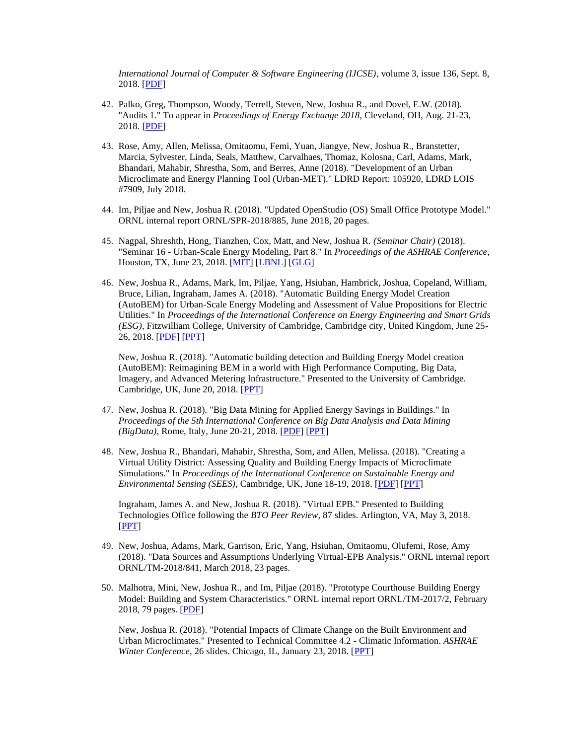*International Journal of Computer & Software Engineering (IJCSE)*, volume 3, issue 136, Sept. 8, 2018. [\[PDF\]](https://www.graphyonline.com/archives/archivedownload.php?pid=IJCSE-136)

- 42. Palko, Greg, Thompson, Woody, Terrell, Steven, New, Joshua R., and Dovel, E.W. (2018). "Audits 1." To appear in *Proceedings of Energy Exchange 2018*, Cleveland, OH, Aug. 21-23, 2018. [\[PDF\]](http://web.eecs.utk.edu/~new/presentations/2018_EnergyExchange_AutoBEM.pdf)
- 43. Rose, Amy, Allen, Melissa, Omitaomu, Femi, Yuan, Jiangye, New, Joshua R., Branstetter, Marcia, Sylvester, Linda, Seals, Matthew, Carvalhaes, Thomaz, Kolosna, Carl, Adams, Mark, Bhandari, Mahabir, Shrestha, Som, and Berres, Anne (2018). "Development of an Urban Microclimate and Energy Planning Tool (Urban-MET)." LDRD Report: 105920, LDRD LOIS #7909, July 2018.
- 44. Im, Piljae and New, Joshua R. (2018). "Updated OpenStudio (OS) Small Office Prototype Model." ORNL internal report ORNL/SPR-2018/885, June 2018, 20 pages.
- 45. Nagpal, Shreshth, Hong, Tianzhen, Cox, Matt, and New, Joshua R. *(Seminar Chair)* (2018). "Seminar 16 - Urban-Scale Energy Modeling, Part 8." In *Proceedings of the ASHRAE Conference*, Houston, TX, June 23, 2018. [\[MIT\]](http://web.eecs.utk.edu/~new/presentations/2018_ASHRAE_UBEM8_MIT.pdf) [\[LBNL\]](http://web.eecs.utk.edu/~new/presentations/2018_ASHRAE_UBEM8_LBNL.pdf) [\[GLG\]](http://web.eecs.utk.edu/~new/presentations/2018_ASHRAE_UBEM8_GLG.pdf)
- 46. New, Joshua R., Adams, Mark, Im, Piljae, Yang, Hsiuhan, Hambrick, Joshua, Copeland, William, Bruce, Lilian, Ingraham, James A. (2018). "Automatic Building Energy Model Creation (AutoBEM) for Urban-Scale Energy Modeling and Assessment of Value Propositions for Electric Utilities." In *Proceedings of the International Conference on Energy Engineering and Smart Grids (ESG)*, Fitzwilliam College, University of Cambridge, Cambridge city, United Kingdom, June 25- 26, 2018. [\[PDF\]](http://web.eecs.utk.edu/~new/publications/2018_ESG_VirtualUtility.pdf) [\[PPT\]](http://web.eecs.utk.edu/~new/presentations/2018_ESG_VirtualUtility.pdf)

New, Joshua R. (2018). "Automatic building detection and Building Energy Model creation (AutoBEM): Reimagining BEM in a world with High Performance Computing, Big Data, Imagery, and Advanced Metering Infrastructure." Presented to the University of Cambridge. Cambridge, UK, June 20, 2018. [\[PPT\]](http://web.eecs.utk.edu/~new/presentations/2018_UnivCambridge.pdf)

- 47. New, Joshua R. (2018). "Big Data Mining for Applied Energy Savings in Buildings." In *Proceedings of the 5th International Conference on Big Data Analysis and Data Mining (BigData)*, Rome, Italy, June 20-21, 2018. [\[PDF\]](http://web.eecs.utk.edu/~new/publications/2018_BigData_Buildings.pdf) [\[PPT\]](http://web.eecs.utk.edu/~new/presentations/2018_BigData_Buildings.pdf)
- 48. New, Joshua R., Bhandari, Mahabir, Shrestha, Som, and Allen, Melissa. (2018). "Creating a Virtual Utility District: Assessing Quality and Building Energy Impacts of Microclimate Simulations." In *Proceedings of the International Conference on Sustainable Energy and Environmental Sensing (SEES)*, Cambridge, UK, June 18-19, 2018. [\[PDF\]](http://web.eecs.utk.edu/~new/publications/2018_SEES_UtilityWeather.pdf) [\[PPT\]](http://web.eecs.utk.edu/~new/presentations/2018_SEES_UtilityWeather.pdf)

Ingraham, James A. and New, Joshua R. (2018). "Virtual EPB." Presented to Building Technologies Office following the *BTO Peer Review*, 87 slides. Arlington, VA, May 3, 2018. [\[PPT\]](http://web.eecs.utk.edu/~new/presentations/2018_BTO_PeerReview_New_Ingraham_BTO-VirtualEPB_public.pdf)

- 49. New, Joshua, Adams, Mark, Garrison, Eric, Yang, Hsiuhan, Omitaomu, Olufemi, Rose, Amy (2018). "Data Sources and Assumptions Underlying Virtual-EPB Analysis." ORNL internal report ORNL/TM-2018/841, March 2018, 23 pages.
- 50. Malhotra, Mini, New, Joshua R., and Im, Piljae (2018). "Prototype Courthouse Building Energy Model: Building and System Characteristics." ORNL internal report ORNL/TM-2017/2, February 2018, 79 pages. [\[PDF\]](http://web.eecs.utk.edu/~new/publications/2017_IR_Courthouse.pdf)

New, Joshua R. (2018). "Potential Impacts of Climate Change on the Built Environment and Urban Microclimates." Presented to Technical Committee 4.2 - Climatic Information. *ASHRAE Winter Conference*, 26 slides. Chicago, IL, January 23, 2018. [\[PPT\]](http://web.eecs.utk.edu/~new/presentations/2018_ASHRAE_GW_Microclimate.pdf)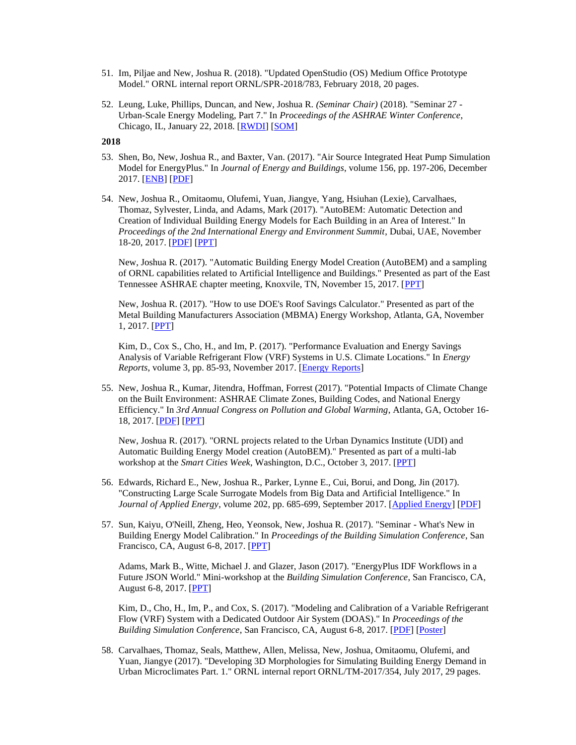- 51. Im, Piljae and New, Joshua R. (2018). "Updated OpenStudio (OS) Medium Office Prototype Model." ORNL internal report ORNL/SPR-2018/783, February 2018, 20 pages.
- 52. Leung, Luke, Phillips, Duncan, and New, Joshua R. *(Seminar Chair)* (2018). "Seminar 27 Urban-Scale Energy Modeling, Part 7." In *Proceedings of the ASHRAE Winter Conference*, Chicago, IL, January 22, 2018. [\[RWDI\]](http://web.eecs.utk.edu/~new/presentations/2017_ASHRAE_UBEM7_RWDI.pdf) [\[SOM\]](http://web.eecs.utk.edu/~new/presentations/2017_ASHRAE_UBEM7_SOM.pdf)

#### **2018**

- 53. Shen, Bo, New, Joshua R., and Baxter, Van. (2017). "Air Source Integrated Heat Pump Simulation Model for EnergyPlus." In *Journal of Energy and Buildings*, volume 156, pp. 197-206, December 2017. [\[ENB\]](https://doi.org/10.1016/j.enbuild.2017.09.064) [\[PDF\]](http://web.eecs.utk.edu/~new/publications/2017_ENB_ASIHP.pdf)
- 54. New, Joshua R., Omitaomu, Olufemi, Yuan, Jiangye, Yang, Hsiuhan (Lexie), Carvalhaes, Thomaz, Sylvester, Linda, and Adams, Mark (2017). "AutoBEM: Automatic Detection and Creation of Individual Building Energy Models for Each Building in an Area of Interest." In *Proceedings of the 2nd International Energy and Environment Summit*, Dubai, UAE, November 18-20, 2017. [\[PDF\]](http://web.eecs.utk.edu/~new/publications/2017_IEES_AutoBEM.pdf) [\[PPT\]](http://web.eecs.utk.edu/~new/presentations/2017_IEES_AutoBEM.pdf)

New, Joshua R. (2017). "Automatic Building Energy Model Creation (AutoBEM) and a sampling of ORNL capabilities related to Artificial Intelligence and Buildings." Presented as part of the East Tennessee ASHRAE chapter meeting, Knoxvile, TN, November 15, 2017. [\[PPT\]](http://web.eecs.utk.edu/~new/presentations/2017_ASHRAE_local.pdf)

New, Joshua R. (2017). "How to use DOE's Roof Savings Calculator." Presented as part of the Metal Building Manufacturers Association (MBMA) Energy Workshop, Atlanta, GA, November 1, 2017. [\[PPT\]](http://web.eecs.utk.edu/~new/presentations/2017_MBMA.pdf)

Kim, D., Cox S., Cho, H., and Im, P. (2017). "Performance Evaluation and Energy Savings Analysis of Variable Refrigerant Flow (VRF) Systems in U.S. Climate Locations." In *Energy Reports*, volume 3, pp. 85-93, November 2017. [\[Energy Reports\]](https://doi.org/10.1016/j.egyr.2017.05.002)

55. New, Joshua R., Kumar, Jitendra, Hoffman, Forrest (2017). "Potential Impacts of Climate Change on the Built Environment: ASHRAE Climate Zones, Building Codes, and National Energy Efficiency." In *3rd Annual Congress on Pollution and Global Warming*, Atlanta, GA, October 16- 18, 2017. [\[PDF\]](http://web.eecs.utk.edu/~new/publications/2017_GW_CZs.pdf) [\[PPT\]](http://web.eecs.utk.edu/~new/presentations/2017_GW_CZs.pdf)

New, Joshua R. (2017). "ORNL projects related to the Urban Dynamics Institute (UDI) and Automatic Building Energy Model creation (AutoBEM)." Presented as part of a multi-lab workshop at the *Smart Cities Week*, Washington, D.C., October 3, 2017. [\[PPT\]](http://web.eecs.utk.edu/~new/presentations/2017_SmartCitiesWeek.pdf)

- 56. Edwards, Richard E., New, Joshua R., Parker, Lynne E., Cui, Borui, and Dong, Jin (2017). "Constructing Large Scale Surrogate Models from Big Data and Artificial Intelligence." In *Journal of Applied Energy*, volume 202, pp. 685-699, September 2017. [\[Applied Energy\]](http://www.sciencedirect.com/science/article/pii/S0306261917307043) [\[PDF\]](http://web.eecs.utk.edu/~new/publications/2017_APEN_Surrogates.pdf)
- 57. Sun, Kaiyu, O'Neill, Zheng, Heo, Yeonsok, New, Joshua R. (2017). "Seminar What's New in Building Energy Model Calibration." In *Proceedings of the Building Simulation Conference*, San Francisco, CA, August 6-8, 2017. [\[PPT\]](http://web.eecs.utk.edu/~new/presentations/2017_IBPSA_Calibration.pdf)

Adams, Mark B., Witte, Michael J. and Glazer, Jason (2017). "EnergyPlus IDF Workflows in a Future JSON World." Mini-workshop at the *Building Simulation Conference*, San Francisco, CA, August 6-8, 2017. [\[PPT\]](http://web.eecs.utk.edu/~new/presentations/2017_IBPSA_JSON.pdf)

Kim, D., Cho, H., Im, P., and Cox, S. (2017). "Modeling and Calibration of a Variable Refrigerant Flow (VRF) System with a Dedicated Outdoor Air System (DOAS)." In *Proceedings of the Building Simulation Conference*, San Francisco, CA, August 6-8, 2017. [\[PDF\]](http://web.eecs.utk.edu/~new/publications/2017_BS_VRF_DOAS.pdf) [\[Poster\]](http://web.eecs.utk.edu/~new/publications/2017_BS_VRF_DOAS_Poster.pdf)

58. Carvalhaes, Thomaz, Seals, Matthew, Allen, Melissa, New, Joshua, Omitaomu, Olufemi, and Yuan, Jiangye (2017). "Developing 3D Morphologies for Simulating Building Energy Demand in Urban Microclimates Part. 1." ORNL internal report ORNL/TM-2017/354, July 2017, 29 pages.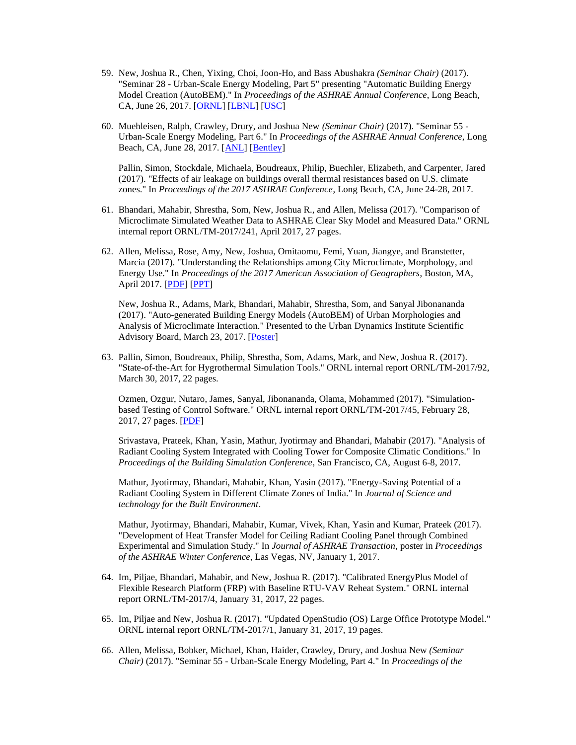- 59. New, Joshua R., Chen, Yixing, Choi, Joon-Ho, and Bass Abushakra *(Seminar Chair)* (2017). "Seminar 28 - Urban-Scale Energy Modeling, Part 5" presenting "Automatic Building Energy Model Creation (AutoBEM)." In *Proceedings of the ASHRAE Annual Conference*, Long Beach, CA, June 26, 2017. [\[ORNL\]](http://web.eecs.utk.edu/~new/presentations/2017_ASHRAE_UBEM5_ORNL.pdf) [\[LBNL\]](http://web.eecs.utk.edu/~new/presentations/2017_ASHRAE_UBEM5_LBNL.pdf) [\[USC\]](http://web.eecs.utk.edu/~new/presentations/2017_ASHRAE_UBEM5_USC.pdf)
- 60. Muehleisen, Ralph, Crawley, Drury, and Joshua New *(Seminar Chair)* (2017). "Seminar 55 Urban-Scale Energy Modeling, Part 6." In *Proceedings of the ASHRAE Annual Conference*, Long Beach, CA, June 28, 2017. [\[ANL\]](http://web.eecs.utk.edu/~new/presentations/2017_ASHRAE_UBEM6_ANL.pdf) [\[Bentley\]](http://web.eecs.utk.edu/~new/presentations/2017_ASHRAE_UBEM6_Bentley.pdf)

Pallin, Simon, Stockdale, Michaela, Boudreaux, Philip, Buechler, Elizabeth, and Carpenter, Jared (2017). "Effects of air leakage on buildings overall thermal resistances based on U.S. climate zones." In *Proceedings of the 2017 ASHRAE Conference*, Long Beach, CA, June 24-28, 2017.

- 61. Bhandari, Mahabir, Shrestha, Som, New, Joshua R., and Allen, Melissa (2017). "Comparison of Microclimate Simulated Weather Data to ASHRAE Clear Sky Model and Measured Data." ORNL internal report ORNL/TM-2017/241, April 2017, 27 pages.
- 62. Allen, Melissa, Rose, Amy, New, Joshua, Omitaomu, Femi, Yuan, Jiangye, and Branstetter, Marcia (2017). "Understanding the Relationships among City Microclimate, Morphology, and Energy Use." In *Proceedings of the 2017 American Association of Geographers*, Boston, MA, April 2017. [\[PDF\]](http://web.eecs.utk.edu/~new/publications/2017_AAG_UrbanMET.pdf) [\[PPT\]](http://web.eecs.utk.edu/~new/presentations/2017_AAG_UrbanMET.pdf)

New, Joshua R., Adams, Mark, Bhandari, Mahabir, Shrestha, Som, and Sanyal Jibonananda (2017). "Auto-generated Building Energy Models (AutoBEM) of Urban Morphologies and Analysis of Microclimate Interaction." Presented to the Urban Dynamics Institute Scientific Advisory Board, March 23, 2017. [\[Poster\]](http://web.eecs.utk.edu/~new/publications/2017_UDI_Poster.pdf)

63. Pallin, Simon, Boudreaux, Philip, Shrestha, Som, Adams, Mark, and New, Joshua R. (2017). "State-of-the-Art for Hygrothermal Simulation Tools." ORNL internal report ORNL/TM-2017/92, March 30, 2017, 22 pages.

Ozmen, Ozgur, Nutaro, James, Sanyal, Jibonananda, Olama, Mohammed (2017). "Simulationbased Testing of Control Software." ORNL internal report ORNL/TM-2017/45, February 28, 2017, 27 pages. [\[PDF\]](http://info.ornl.gov/sites/publications/files/Pub72642.pdf)

Srivastava, Prateek, Khan, Yasin, Mathur, Jyotirmay and Bhandari, Mahabir (2017). "Analysis of Radiant Cooling System Integrated with Cooling Tower for Composite Climatic Conditions." In *Proceedings of the Building Simulation Conference*, San Francisco, CA, August 6-8, 2017.

Mathur, Jyotirmay, Bhandari, Mahabir, Khan, Yasin (2017). "Energy-Saving Potential of a Radiant Cooling System in Different Climate Zones of India." In *Journal of Science and technology for the Built Environment*.

Mathur, Jyotirmay, Bhandari, Mahabir, Kumar, Vivek, Khan, Yasin and Kumar, Prateek (2017). "Development of Heat Transfer Model for Ceiling Radiant Cooling Panel through Combined Experimental and Simulation Study." In *Journal of ASHRAE Transaction*, poster in *Proceedings of the ASHRAE Winter Conference*, Las Vegas, NV, January 1, 2017.

- 64. Im, Piljae, Bhandari, Mahabir, and New, Joshua R. (2017). "Calibrated EnergyPlus Model of Flexible Research Platform (FRP) with Baseline RTU-VAV Reheat System." ORNL internal report ORNL/TM-2017/4, January 31, 2017, 22 pages.
- 65. Im, Piljae and New, Joshua R. (2017). "Updated OpenStudio (OS) Large Office Prototype Model." ORNL internal report ORNL/TM-2017/1, January 31, 2017, 19 pages.
- 66. Allen, Melissa, Bobker, Michael, Khan, Haider, Crawley, Drury, and Joshua New *(Seminar Chair)* (2017). "Seminar 55 - Urban-Scale Energy Modeling, Part 4." In *Proceedings of the*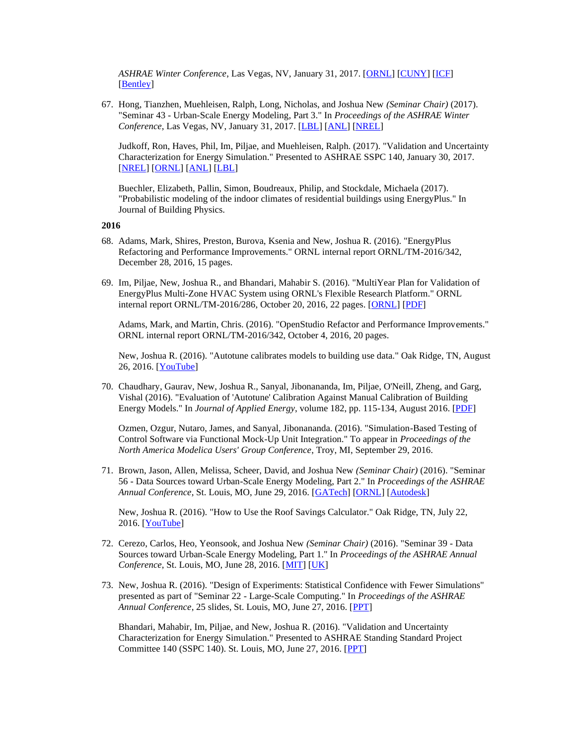*ASHRAE Winter Conference*, Las Vegas, NV, January 31, 2017. [\[ORNL\]](http://web.eecs.utk.edu/~new/presentations/2017_ASHRAE_Winter_UBEM4_ORNL) [\[CUNY\]](http://web.eecs.utk.edu/~new/presentations/2017_ASHRAE_Winter_UBEM4_CUNY.pdf) [\[ICF\]](http://web.eecs.utk.edu/~new/presentations/2017_ASHRAE_Winter_UBEM4_ICF.pdf) [\[Bentley\]](http://web.eecs.utk.edu/~new/presentations/2017_ASHRAE_Winter_UBEM4_Bentley.pdf)

67. Hong, Tianzhen, Muehleisen, Ralph, Long, Nicholas, and Joshua New *(Seminar Chair)* (2017). "Seminar 43 - Urban-Scale Energy Modeling, Part 3." In *Proceedings of the ASHRAE Winter Conference*, Las Vegas, NV, January 31, 2017. [\[LBL\]](http://web.eecs.utk.edu/~new/presentations/2017_ASHRAE_Winter_UBEM3_LBNL.pdf) [\[ANL\]](http://web.eecs.utk.edu/~new/presentations/2017_ASHRAE_Winter_UBEM3_ANL.pdf) [\[NREL\]](http://web.eecs.utk.edu/~new/presentations/2017_ASHRAE_Winter_UBEM3_NREL.pdf)

Judkoff, Ron, Haves, Phil, Im, Piljae, and Muehleisen, Ralph. (2017). "Validation and Uncertainty Characterization for Energy Simulation." Presented to ASHRAE SSPC 140, January 30, 2017. [\[NREL\]](http://web.eecs.utk.edu/~new/presentations/2017_ASHRAE_140_NREL.pdf) [\[ORNL\]](http://web.eecs.utk.edu/~new/presentations/2017_ASHRAE_140_ORNL.pdf) [\[ANL\]](http://web.eecs.utk.edu/~new/presentations/2017_ASHRAE_140_ANL.pdf) [\[LBL\]](http://web.eecs.utk.edu/~new/presentations/2017_ASHRAE_140_LBNL.pdf)

Buechler, Elizabeth, Pallin, Simon, Boudreaux, Philip, and Stockdale, Michaela (2017). "Probabilistic modeling of the indoor climates of residential buildings using EnergyPlus." In Journal of Building Physics.

#### **2016**

- 68. Adams, Mark, Shires, Preston, Burova, Ksenia and New, Joshua R. (2016). "EnergyPlus Refactoring and Performance Improvements." ORNL internal report ORNL/TM-2016/342, December 28, 2016, 15 pages.
- 69. Im, Piljae, New, Joshua R., and Bhandari, Mahabir S. (2016). "MultiYear Plan for Validation of EnergyPlus Multi-Zone HVAC System using ORNL's Flexible Research Platform." ORNL internal report ORNL/TM-2016/286, October 20, 2016, 22 pages. [\[ORNL\]](http://info.ornl.gov/sites/publications/Files/Pub68267.pdf) [\[PDF\]](http://web.eecs.utk.edu/~new/publications/2016_IR_ValidationMultiYearPlan.pdf)

Adams, Mark, and Martin, Chris. (2016). "OpenStudio Refactor and Performance Improvements." ORNL internal report ORNL/TM-2016/342, October 4, 2016, 20 pages.

New, Joshua R. (2016). "Autotune calibrates models to building use data." Oak Ridge, TN, August 26, 2016. [\[YouTube\]](https://www.youtube.com/watch?v=6ejLq7p7yqU)

70. Chaudhary, Gaurav, New, Joshua R., Sanyal, Jibonananda, Im, Piljae, O'Neill, Zheng, and Garg, Vishal (2016). "Evaluation of 'Autotune' Calibration Against Manual Calibration of Building Energy Models." In *Journal of Applied Energy*, volume 182, pp. 115-134, August 2016. [\[PDF\]](http://dx.doi.org/10.1016/j.apenergy.2016.08.073)

Ozmen, Ozgur, Nutaro, James, and Sanyal, Jibonananda. (2016). "Simulation-Based Testing of Control Software via Functional Mock-Up Unit Integration." To appear in *Proceedings of the North America Modelica Users' Group Conference*, Troy, MI, September 29, 2016.

71. Brown, Jason, Allen, Melissa, Scheer, David, and Joshua New *(Seminar Chair)* (2016). "Seminar 56 - Data Sources toward Urban-Scale Energy Modeling, Part 2." In *Proceedings of the ASHRAE Annual Conference*, St. Louis, MO, June 29, 2016. [\[GATech\]](http://web.eecs.utk.edu/~new/presentations/2016_ASHRAE_Seminar56_GATech.pdf) [\[ORNL\]](http://web.eecs.utk.edu/~new/presentations/2016_ASHRAE_Seminar56_ORNL.pdf) [\[Autodesk\]](http://web.eecs.utk.edu/~new/presentations/2016_ASHRAE_Seminar56_Autodesk.pdf)

New, Joshua R. (2016). "How to Use the Roof Savings Calculator." Oak Ridge, TN, July 22, 2016. [**YouTube**]

- 72. Cerezo, Carlos, Heo, Yeonsook, and Joshua New *(Seminar Chair)* (2016). "Seminar 39 Data Sources toward Urban-Scale Energy Modeling, Part 1." In *Proceedings of the ASHRAE Annual Conference*, St. Louis, MO, June 28, 2016. [\[MIT\]](http://web.eecs.utk.edu/~new/presentations/2016_ASHRAE_Seminar39_MIT.pdf) [\[UK\]](http://web.eecs.utk.edu/~new/presentations/2016_ASHRAE_Seminar39_UnivCambridge.pdf)
- 73. New, Joshua R. (2016). "Design of Experiments: Statistical Confidence with Fewer Simulations" presented as part of "Seminar 22 - Large-Scale Computing." In *Proceedings of the ASHRAE Annual Conference*, 25 slides, St. Louis, MO, June 27, 2016. [\[PPT\]](http://web.eecs.utk.edu/~new/presentations/2016_ASHRAE_Seminar22_doe.pdf)

Bhandari, Mahabir, Im, Piljae, and New, Joshua R. (2016). "Validation and Uncertainty Characterization for Energy Simulation." Presented to ASHRAE Standing Standard Project Committee 140 (SSPC 140). St. Louis, MO, June 27, 2016. [\[PPT\]](http://web.eecs.utk.edu/~new/presentations/2016_ASHRAE_140_Validation_June.pdf)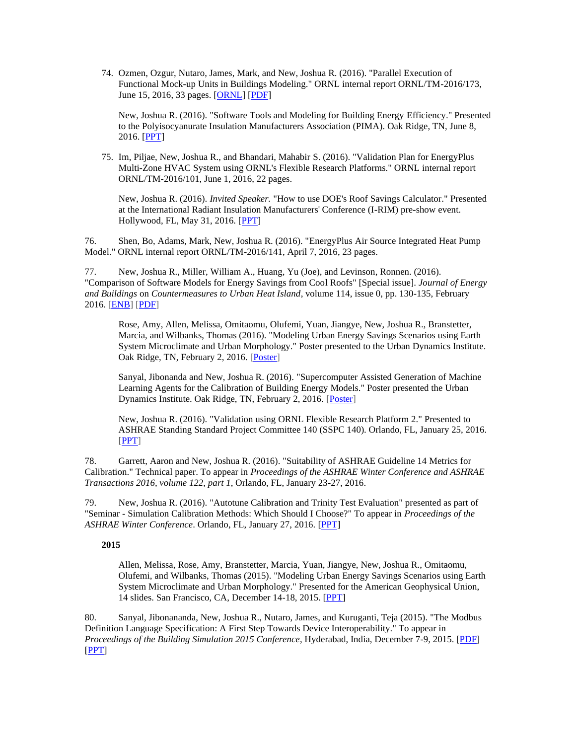74. Ozmen, Ozgur, Nutaro, James, Mark, and New, Joshua R. (2016). "Parallel Execution of Functional Mock-up Units in Buildings Modeling." ORNL internal report ORNL/TM-2016/173, June 15, 2016, 33 pages. [\[ORNL\]](http://info.ornl.gov/sites/publications/Files/Pub62531.pdf) [\[PDF\]](http://web.eecs.utk.edu/~new/publications/2016_IR_FMU.pdf)

New, Joshua R. (2016). "Software Tools and Modeling for Building Energy Efficiency." Presented to the Polyisocyanurate Insulation Manufacturers Association (PIMA). Oak Ridge, TN, June 8, 2016. [\[PPT\]](http://web.eecs.utk.edu/~new/presentations/2016_PIMA_public.pdf)

75. Im, Piljae, New, Joshua R., and Bhandari, Mahabir S. (2016). "Validation Plan for EnergyPlus Multi-Zone HVAC System using ORNL's Flexible Research Platforms." ORNL internal report ORNL/TM-2016/101, June 1, 2016, 22 pages.

New, Joshua R. (2016). *Invited Speaker.* "How to use DOE's Roof Savings Calculator." Presented at the International Radiant Insulation Manufacturers' Conference (I-RIM) pre-show event. Hollywood, FL, May 31, 2016. [\[PPT\]](http://web.eecs.utk.edu/~new/presentations/2016_IRIM.pdf)

76. Shen, Bo, Adams, Mark, New, Joshua R. (2016). "EnergyPlus Air Source Integrated Heat Pump Model." ORNL internal report ORNL/TM-2016/141, April 7, 2016, 23 pages.

77. New, Joshua R., Miller, William A., Huang, Yu (Joe), and Levinson, Ronnen. (2016). "Comparison of Software Models for Energy Savings from Cool Roofs" [Special issue]. *Journal of Energy and Buildings* on *Countermeasures to Urban Heat Island*, volume 114, issue 0, pp. 130-135, February 2016. [\[ENB\]](http://dx.doi.org/10.1016/j.enbuild.2015.06.020) [\[PDF\]](http://web.eecs.utk.edu/~new/publications/2015_EandB_RSC_Software_Comparison.pdf)

Rose, Amy, Allen, Melissa, Omitaomu, Olufemi, Yuan, Jiangye, New, Joshua R., Branstetter, Marcia, and Wilbanks, Thomas (2016). "Modeling Urban Energy Savings Scenarios using Earth System Microclimate and Urban Morphology." Poster presented to the Urban Dynamics Institute. Oak Ridge, TN, February 2, 2016. [\[Poster\]](http://web.eecs.utk.edu/~new/presentations/2016_UDI_UrbanMETPoster.pdf)

Sanyal, Jibonanda and New, Joshua R. (2016). "Supercomputer Assisted Generation of Machine Learning Agents for the Calibration of Building Energy Models." Poster presented the Urban Dynamics Institute. Oak Ridge, TN, February 2, 2016. [\[Poster\]](http://web.eecs.utk.edu/~new/presentations/2013_XSEDE_poster.pdf)

New, Joshua R. (2016). "Validation using ORNL Flexible Research Platform 2." Presented to ASHRAE Standing Standard Project Committee 140 (SSPC 140). Orlando, FL, January 25, 2016. [\[PPT\]](http://web.eecs.utk.edu/~new/presentations/2016_ASHRAE_140_Validation.pdf)

78. Garrett, Aaron and New, Joshua R. (2016). "Suitability of ASHRAE Guideline 14 Metrics for Calibration." Technical paper. To appear in *Proceedings of the ASHRAE Winter Conference and ASHRAE Transactions 2016, volume 122, part 1*, Orlando, FL, January 23-27, 2016.

79. New, Joshua R. (2016). "Autotune Calibration and Trinity Test Evaluation" presented as part of "Seminar - Simulation Calibration Methods: Which Should I Choose?" To appear in *Proceedings of the ASHRAE Winter Conference*. Orlando, FL, January 27, 2016. [\[PPT\]](http://web.eecs.utk.edu/~new/presentations/2016_ASHRAE_Seminar59_CalibrationChoice.pdf)

## **2015**

Allen, Melissa, Rose, Amy, Branstetter, Marcia, Yuan, Jiangye, New, Joshua R., Omitaomu, Olufemi, and Wilbanks, Thomas (2015). "Modeling Urban Energy Savings Scenarios using Earth System Microclimate and Urban Morphology." Presented for the American Geophysical Union, 14 slides. San Francisco, CA, December 14-18, 2015. [\[PPT\]](http://web.eecs.utk.edu/~new/presentations/2015_AGU_UrbanMET.pdf)

80. Sanyal, Jibonananda, New, Joshua R., Nutaro, James, and Kuruganti, Teja (2015). "The Modbus Definition Language Specification: A First Step Towards Device Interoperability." To appear in *Proceedings of the Building Simulation 2015 Conference*, Hyderabad, India, December 7-9, 2015. [\[PDF\]](http://web.eecs.utk.edu/~new/publications/2015_BS_Modbus.pdf) [\[PPT\]](http://web.eecs.utk.edu/~new/presentations/2015_BS_Modbus.pdf)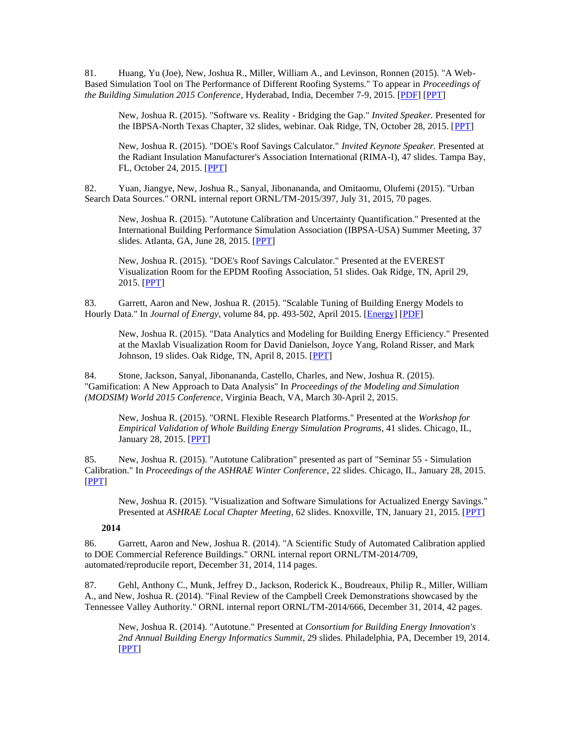81. Huang, Yu (Joe), New, Joshua R., Miller, William A., and Levinson, Ronnen (2015). "A Web-Based Simulation Tool on The Performance of Different Roofing Systems." To appear in *Proceedings of the Building Simulation 2015 Conference*, Hyderabad, India, December 7-9, 2015. [\[PDF\]](http://web.eecs.utk.edu/~new/publications/2015_BS_RSC.pdf) [\[PPT\]](http://web.eecs.utk.edu/~new/presentations/2015_BS_RSC.pdf)

New, Joshua R. (2015). "Software vs. Reality - Bridging the Gap." *Invited Speaker.* Presented for the IBPSA-North Texas Chapter, 32 slides, webinar. Oak Ridge, TN, October 28, 2015. [\[PPT\]](http://web.eecs.utk.edu/~new/presentations/2016_IBPSA_public.pdf)

New, Joshua R. (2015). "DOE's Roof Savings Calculator." *Invited Keynote Speaker.* Presented at the Radiant Insulation Manufacturer's Association International (RIMA-I), 47 slides. Tampa Bay, FL, October 24, 2015. [\[PPT\]](http://web.eecs.utk.edu/~new/presentations/2016_RIMA_public.pdf)

82. Yuan, Jiangye, New, Joshua R., Sanyal, Jibonananda, and Omitaomu, Olufemi (2015). "Urban Search Data Sources." ORNL internal report ORNL/TM-2015/397, July 31, 2015, 70 pages.

New, Joshua R. (2015). "Autotune Calibration and Uncertainty Quantification." Presented at the International Building Performance Simulation Association (IBPSA-USA) Summer Meeting, 37 slides. Atlanta, GA, June 28, 2015. [\[PPT\]](http://web.eecs.utk.edu/~new/presentations/2015_IBPSA_public.pdf)

New, Joshua R. (2015). "DOE's Roof Savings Calculator." Presented at the EVEREST Visualization Room for the EPDM Roofing Association, 51 slides. Oak Ridge, TN, April 29, 2015. [\[PPT\]](http://web.eecs.utk.edu/~new/presentations/2015_EPDM_public.pdf)

83. Garrett, Aaron and New, Joshua R. (2015). "Scalable Tuning of Building Energy Models to Hourly Data." In *Journal of Energy*, volume 84, pp. 493-502, April 2015. [\[Energy\]](http://www.sciencedirect.com/science/article/pii/S0360544215003084) [\[PDF\]](http://web.eecs.utk.edu/~new/publications/2015_Energy_HourlyCalibration.pdf)

New, Joshua R. (2015). "Data Analytics and Modeling for Building Energy Efficiency." Presented at the Maxlab Visualization Room for David Danielson, Joyce Yang, Roland Risser, and Mark Johnson, 19 slides. Oak Ridge, TN, April 8, 2015. [\[PPT\]](http://web.eecs.utk.edu/~new/presentations/2015_Danielson_public.pdf)

84. Stone, Jackson, Sanyal, Jibonananda, Castello, Charles, and New, Joshua R. (2015). "Gamification: A New Approach to Data Analysis" In *Proceedings of the Modeling and Simulation (MODSIM) World 2015 Conference*, Virginia Beach, VA, March 30-April 2, 2015.

New, Joshua R. (2015). "ORNL Flexible Research Platforms." Presented at the *Workshop for Empirical Validation of Whole Building Energy Simulation Programs*, 41 slides. Chicago, IL, January 28, 2015. [\[PPT\]](http://web.eecs.utk.edu/~new/presentations/2015_Workshop_FRP_Validation_public.pdf)

85. New, Joshua R. (2015). "Autotune Calibration" presented as part of "Seminar 55 - Simulation Calibration." In *Proceedings of the ASHRAE Winter Conference*, 22 slides. Chicago, IL, January 28, 2015. [\[PPT\]](http://web.eecs.utk.edu/~new/presentations/2015_ASHRAE_Autotune.pdf)

New, Joshua R. (2015). "Visualization and Software Simulations for Actualized Energy Savings." Presented at *ASHRAE Local Chapter Meeting*, 62 slides. Knoxville, TN, January 21, 2015. [\[PPT\]](http://web.eecs.utk.edu/~new/presentations/2015_ASHRAE_local.pdf)

## **2014**

86. Garrett, Aaron and New, Joshua R. (2014). "A Scientific Study of Automated Calibration applied to DOE Commercial Reference Buildings." ORNL internal report ORNL/TM-2014/709, automated/reproducile report, December 31, 2014, 114 pages.

87. Gehl, Anthony C., Munk, Jeffrey D., Jackson, Roderick K., Boudreaux, Philip R., Miller, William A., and New, Joshua R. (2014). "Final Review of the Campbell Creek Demonstrations showcased by the Tennessee Valley Authority." ORNL internal report ORNL/TM-2014/666, December 31, 2014, 42 pages.

New, Joshua R. (2014). "Autotune." Presented at *Consortium for Building Energy Innovation's 2nd Annual Building Energy Informatics Summit*, 29 slides. Philadelphia, PA, December 19, 2014. [\[PPT\]](http://web.eecs.utk.edu/~new/presentations/2014_CBEI_Summit.pdf)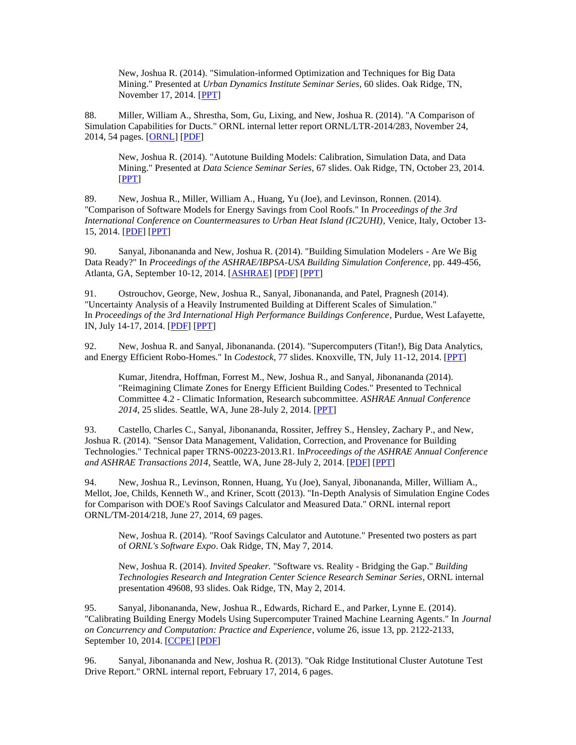New, Joshua R. (2014). "Simulation-informed Optimization and Techniques for Big Data Mining." Presented at *Urban Dynamics Institute Seminar Series*, 60 slides. Oak Ridge, TN, November 17, 2014. [\[PPT\]](http://web.eecs.utk.edu/~new/presentations/2014_UDI_Seminar.pdf)

88. Miller, William A., Shrestha, Som, Gu, Lixing, and New, Joshua R. (2014). "A Comparison of Simulation Capabilities for Ducts." ORNL internal letter report ORNL/LTR-2014/283, November 24, 2014, 54 pages. [\[ORNL\]](http://info.ornl.gov/sites/publications/Files/Pub50835.pdf) [\[PDF\]](http://web.eecs.utk.edu/~new/publications/2014_IR_Ducts.pdf)

New, Joshua R. (2014). "Autotune Building Models: Calibration, Simulation Data, and Data Mining." Presented at *Data Science Seminar Series*, 67 slides. Oak Ridge, TN, October 23, 2014. [\[PPT\]](http://web.eecs.utk.edu/~new/presentations/2014_ORNL_DataSeries.pdf)

89. New, Joshua R., Miller, William A., Huang, Yu (Joe), and Levinson, Ronnen. (2014). "Comparison of Software Models for Energy Savings from Cool Roofs." In *Proceedings of the 3rd International Conference on Countermeasures to Urban Heat Island (IC2UHI)*, Venice, Italy, October 13- 15, 2014. [\[PDF\]](http://web.eecs.utk.edu/~new/publications/2014_IC2UHI.pdf) [\[PPT\]](http://web.eecs.utk.edu/~new/presentations/2014_IC2UHI.pdf)

90. Sanyal, Jibonananda and New, Joshua R. (2014). "Building Simulation Modelers - Are We Big Data Ready?" In *Proceedings of the ASHRAE/IBPSA-USA Building Simulation Conference*, pp. 449-456, Atlanta, GA, September 10-12, 2014. [\[ASHRAE\]](https://www.ashrae.org/File%20Library/docLib/Events/ASHRAE-IPBSA-USA/Presentations/57_Sanyal.pdf) [\[PDF\]](http://web.eecs.utk.edu/~new/publications/2014_Simulation_BigData.pdf) [\[PPT\]](http://web.eecs.utk.edu/~new/presentations/2014_Simulation_BigData.pdf)

91. Ostrouchov, George, New, Joshua R., Sanyal, Jibonananda, and Patel, Pragnesh (2014). "Uncertainty Analysis of a Heavily Instrumented Building at Different Scales of Simulation." In *Proceedings of the 3rd International High Performance Buildings Conference*, Purdue, West Lafayette, IN, July 14-17, 2014. [\[PDF\]](http://web.eecs.utk.edu/~new/publications/2014_Purdue_Uncertainty.pdf) [\[PPT\]](http://web.eecs.utk.edu/~new/presentations/2014_Purdue_Uncertainty.pdf)

92. New, Joshua R. and Sanyal, Jibonananda. (2014). "Supercomputers (Titan!), Big Data Analytics, and Energy Efficient Robo-Homes." In *Codestock*, 77 slides. Knoxville, TN, July 11-12, 2014. [\[PPT\]](http://web.eecs.utk.edu/~new/presentations/2014_Codestock.pdf)

Kumar, Jitendra, Hoffman, Forrest M., New, Joshua R., and Sanyal, Jibonananda (2014). "Reimagining Climate Zones for Energy Efficient Building Codes." Presented to Technical Committee 4.2 - Climatic Information, Research subcommittee. *ASHRAE Annual Conference 2014*, 25 slides. Seattle, WA, June 28-July 2, 2014. [\[PPT\]](http://web.eecs.utk.edu/~new/presentations/2014_ASHRAE_Weather.pdf)

93. Castello, Charles C., Sanyal, Jibonananda, Rossiter, Jeffrey S., Hensley, Zachary P., and New, Joshua R. (2014). "Sensor Data Management, Validation, Correction, and Provenance for Building Technologies." Technical paper TRNS-00223-2013.R1. In*Proceedings of the ASHRAE Annual Conference and ASHRAE Transactions 2014*, Seattle, WA, June 28-July 2, 2014. [\[PDF\]](http://web.eecs.utk.edu/~new/publications/2014_ASHRAE_provDMS_sensorDVC.pdf) [\[PPT\]](http://web.eecs.utk.edu/~new/presentations/2014_ASHRAE_provDMS_sensorDVC.pdf)

94. New, Joshua R., Levinson, Ronnen, Huang, Yu (Joe), Sanyal, Jibonananda, Miller, William A., Mellot, Joe, Childs, Kenneth W., and Kriner, Scott (2013). "In-Depth Analysis of Simulation Engine Codes for Comparison with DOE's Roof Savings Calculator and Measured Data." ORNL internal report ORNL/TM-2014/218, June 27, 2014, 69 pages.

New, Joshua R. (2014). "Roof Savings Calculator and Autotune." Presented two posters as part of *ORNL's Software Expo*. Oak Ridge, TN, May 7, 2014.

New, Joshua R. (2014). *Invited Speaker.* "Software vs. Reality - Bridging the Gap." *Building Technologies Research and Integration Center Science Research Seminar Series*, ORNL internal presentation 49608, 93 slides. Oak Ridge, TN, May 2, 2014.

95. Sanyal, Jibonananda, New, Joshua R., Edwards, Richard E., and Parker, Lynne E. (2014). "Calibrating Building Energy Models Using Supercomputer Trained Machine Learning Agents." In *Journal on Concurrency and Computation: Practice and Experience*, volume 26, issue 13, pp. 2122-2133, September 10, 2014. [\[CCPE\]](http://onlinelibrary.wiley.com/doi/10.1002/cpe.3267/abstract) [\[PDF\]](http://web.eecs.utk.edu/~new/publications/2014_CCPE.pdf)

96. Sanyal, Jibonananda and New, Joshua R. (2013). "Oak Ridge Institutional Cluster Autotune Test Drive Report." ORNL internal report, February 17, 2014, 6 pages.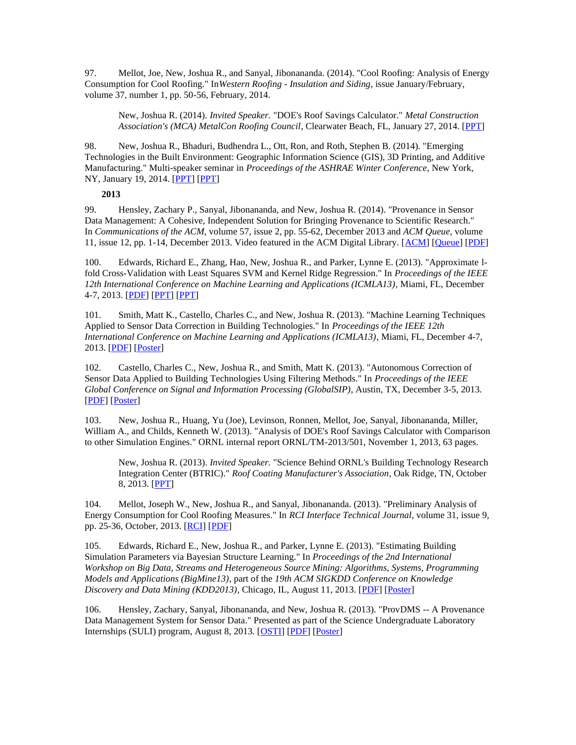97. Mellot, Joe, New, Joshua R., and Sanyal, Jibonananda. (2014). "Cool Roofing: Analysis of Energy Consumption for Cool Roofing." In*Western Roofing - Insulation and Siding*, issue January/February, volume 37, number 1, pp. 50-56, February, 2014.

New, Joshua R. (2014). *Invited Speaker.* "DOE's Roof Savings Calculator." *Metal Construction Association's (MCA) MetalCon Roofing Council*, Clearwater Beach, FL, January 27, 2014. [\[PPT\]](http://web.eecs.utk.edu/~new/presentations/2014_MCA_MetalCon.pdf)

98. New, Joshua R., Bhaduri, Budhendra L., Ott, Ron, and Roth, Stephen B. (2014). "Emerging Technologies in the Built Environment: Geographic Information Science (GIS), 3D Printing, and Additive Manufacturing." Multi-speaker seminar in *Proceedings of the ASHRAE Winter Conference*, New York, NY, January 19, 2014. [\[PPT\]](http://web.eecs.utk.edu/~new/presentations/2014_ASHRAE_seminar_GIS.pdf) [\[PPT\]](http://web.eecs.utk.edu/~new/presentations/2014_ASHRAE_seminar_MDF.pdf)

### **2013**

99. Hensley, Zachary P., Sanyal, Jibonananda, and New, Joshua R. (2014). "Provenance in Sensor Data Management: A Cohesive, Independent Solution for Bringing Provenance to Scientific Research." In *Communications of the ACM*, volume 57, issue 2, pp. 55-62, December 2013 and *ACM Queue*, volume 11, issue 12, pp. 1-14, December 2013. Video featured in the ACM Digital Library. [\[ACM\]](http://cacm.acm.org/magazines/2014/2/171685-provenance-in-sensor-data-management/fulltext) [\[Queue\]](http://queue.acm.org/detail.cfm?id=2574836) [\[PDF\]](http://web.eecs.utk.edu/~new/publications/2013_ACM.pdf)

100. Edwards, Richard E., Zhang, Hao, New, Joshua R., and Parker, Lynne E. (2013). "Approximate lfold Cross-Validation with Least Squares SVM and Kernel Ridge Regression." In *Proceedings of the IEEE 12th International Conference on Machine Learning and Applications (ICMLA13)*, Miami, FL, December 4-7, 2013. **[\[PDF\]](http://web.eecs.utk.edu/~new/publications/2013_ICMLA_Fast_LSSVM.pdf) [\[PPT\]](http://web.eecs.utk.edu/~new/presentations/2013_ICMLA_Fast_LSSVM2.pdf) [PPT]** 

101. Smith, Matt K., Castello, Charles C., and New, Joshua R. (2013). "Machine Learning Techniques Applied to Sensor Data Correction in Building Technologies." In *Proceedings of the IEEE 12th International Conference on Machine Learning and Applications (ICMLA13)*, Miami, FL, December 4-7, 2013. [\[PDF\]](http://web.eecs.utk.edu/~new/publications/2013_ICMLA_SensorQualityML.pdf) [\[Poster\]](http://web.eecs.utk.edu/~new/presentations/2013_ICMLA_SensorQualityML_poster.pdf)

102. Castello, Charles C., New, Joshua R., and Smith, Matt K. (2013). "Autonomous Correction of Sensor Data Applied to Building Technologies Using Filtering Methods." In *Proceedings of the IEEE Global Conference on Signal and Information Processing (GlobalSIP)*, Austin, TX, December 3-5, 2013. [\[PDF\]](http://web.eecs.utk.edu/~new/publications/2013_GlobalSIP_SensorQualityFiltering.pdf) [\[Poster\]](http://web.eecs.utk.edu/~new/presentations/2013_GlobalSIP_SensorQualityFiltering_poster.pdf)

103. New, Joshua R., Huang, Yu (Joe), Levinson, Ronnen, Mellot, Joe, Sanyal, Jibonananda, Miller, William A., and Childs, Kenneth W. (2013). "Analysis of DOE's Roof Savings Calculator with Comparison to other Simulation Engines." ORNL internal report ORNL/TM-2013/501, November 1, 2013, 63 pages.

New, Joshua R. (2013). *Invited Speaker.* "Science Behind ORNL's Building Technology Research Integration Center (BTRIC)." *Roof Coating Manufacturer's Association*, Oak Ridge, TN, October 8, 2013. [\[PPT\]](http://web.eecs.utk.edu/~new/presentations/2013_RCMA_RSC.pdf)

104. Mellot, Joseph W., New, Joshua R., and Sanyal, Jibonananda. (2013). "Preliminary Analysis of Energy Consumption for Cool Roofing Measures." In *RCI Interface Technical Journal*, volume 31, issue 9, pp. 25-36, October, 2013. [\[RCI\]](http://www.rci-online.org/interface-articles-2013.html) [\[PDF\]](http://web.eecs.utk.edu/~new/publications/2013_CoolRoofMeasures.pdf)

105. Edwards, Richard E., New, Joshua R., and Parker, Lynne E. (2013). "Estimating Building Simulation Parameters via Bayesian Structure Learning." In *Proceedings of the 2nd International Workshop on Big Data, Streams and Heterogeneous Source Mining: Algorithms, Systems, Programming Models and Applications (BigMine13)*, part of the *19th ACM SIGKDD Conference on Knowledge Discovery and Data Mining (KDD2013)*, Chicago, IL, August 11, 2013. [\[PDF\]](http://web.eecs.utk.edu/~new/publications/2013_bigmine.pdf) [\[Poster\]](http://web.eecs.utk.edu/~new/publications/2013_bigmine_poster.pdf)

106. Hensley, Zachary, Sanyal, Jibonananda, and New, Joshua R. (2013). "ProvDMS -- A Provenance Data Management System for Sensor Data." Presented as part of the Science Undergraduate Laboratory Internships (SULI) program, August 8, 2013. [\[OSTI\]](http://www.osti.gov/scitech/biblio/1136793) [\[PDF\]](http://web.eecs.utk.edu/~new/publications/2013_Zachary_Provenance.pdf) [\[Poster\]](http://web.eecs.utk.edu/~new/presentations/2013_Zachary_poster.pdf)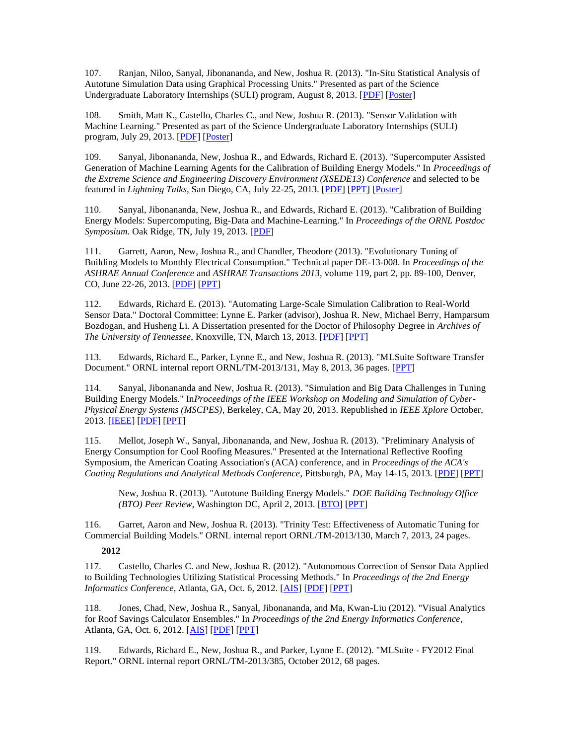107. Ranjan, Niloo, Sanyal, Jibonananda, and New, Joshua R. (2013). "In-Situ Statistical Analysis of Autotune Simulation Data using Graphical Processing Units." Presented as part of the Science Undergraduate Laboratory Internships (SULI) program, August 8, 2013. [\[PDF\]](http://web.eecs.utk.edu/~new/publications/2013_Niloo_GPU.pdf) [\[Poster\]](http://web.eecs.utk.edu/~new/publications/2013_Niloo_poster.pdf)

108. Smith, Matt K., Castello, Charles C., and New, Joshua R. (2013). "Sensor Validation with Machine Learning." Presented as part of the Science Undergraduate Laboratory Internships (SULI) program, July 29, 2013. [\[PDF\]](http://web.eecs.utk.edu/~new/publications/2013_Matt_MLSensors.pdf) [\[Poster\]](http://web.eecs.utk.edu/~new/publications/2013_Matt_poster.pdf)

109. Sanyal, Jibonananda, New, Joshua R., and Edwards, Richard E. (2013). "Supercomputer Assisted Generation of Machine Learning Agents for the Calibration of Building Energy Models." In *Proceedings of the Extreme Science and Engineering Discovery Environment (XSEDE13) Conference* and selected to be featured in *Lightning Talks*, San Diego, CA, July 22-25, 2013. [\[PDF\]](http://web.eecs.utk.edu/~new/publications/2013_xsede.pdf) [\[PPT\]](http://web.eecs.utk.edu/~new/presentations/2013_XSEDE_LightningTalk.pdf) [\[Poster\]](http://web.eecs.utk.edu/~new/presentations/2013_XSEDE_poster.pdf)

110. Sanyal, Jibonananda, New, Joshua R., and Edwards, Richard E. (2013). "Calibration of Building Energy Models: Supercomputing, Big-Data and Machine-Learning." In *Proceedings of the ORNL Postdoc Symposium.* Oak Ridge, TN, July 19, 2013. [\[PDF\]](http://web.eecs.utk.edu/~new/publications/2013_PostdocSymposium.pdf)

111. Garrett, Aaron, New, Joshua R., and Chandler, Theodore (2013). "Evolutionary Tuning of Building Models to Monthly Electrical Consumption." Technical paper DE-13-008. In *Proceedings of the ASHRAE Annual Conference* and *ASHRAE Transactions 2013*, volume 119, part 2, pp. 89-100, Denver, CO, June 22-26, 2013. [\[PDF\]](http://web.eecs.utk.edu/~new/publications/2013_ASHRAE_Autotune.pdf) [\[PPT\]](http://web.eecs.utk.edu/~new/presentations/2013_ASHRAE_Autotune.pptx)

112. Edwards, Richard E. (2013). "Automating Large-Scale Simulation Calibration to Real-World Sensor Data." Doctoral Committee: Lynne E. Parker (advisor), Joshua R. New, Michael Berry, Hamparsum Bozdogan, and Husheng Li. A Dissertation presented for the Doctor of Philosophy Degree in *Archives of The University of Tennessee*, Knoxville, TN, March 13, 2013. [\[PDF\]](http://web.eecs.utk.edu/~new/publications/2013_RichardEdwardsDissertation.pdf) [\[PPT\]](http://web.eecs.utk.edu/~new/presentations/2013_RichardEdwardsDefense.pdf)

113. Edwards, Richard E., Parker, Lynne E., and New, Joshua R. (2013). "MLSuite Software Transfer Document." ORNL internal report ORNL/TM-2013/131, May 8, 2013, 36 pages. [\[PPT\]](http://web.eecs.utk.edu/~new/presentations/2013_MLSuiteTutorial.pdf)

114. Sanyal, Jibonananda and New, Joshua R. (2013). "Simulation and Big Data Challenges in Tuning Building Energy Models." In*Proceedings of the IEEE Workshop on Modeling and Simulation of Cyber-Physical Energy Systems (MSCPES)*, Berkeley, CA, May 20, 2013. Republished in *IEEE Xplore* October, 2013. [\[IEEE\]](http://ieeexplore.ieee.org/xpl/articleDetails.jsp?arnumber=6623320&sortType%3Dasc_p_Sequence%26filter%3DAND%28p_IS_Number%3A6623307%29) [\[PDF\]](http://web.eecs.utk.edu/~new/publications/2013_IEEE_Workshop.pdf) [\[PPT\]](http://web.eecs.utk.edu/~new/presentations/2013_IEEE_Workshop.pptx)

115. Mellot, Joseph W., Sanyal, Jibonananda, and New, Joshua R. (2013). "Preliminary Analysis of Energy Consumption for Cool Roofing Measures." Presented at the International Reflective Roofing Symposium, the American Coating Association's (ACA) conference, and in *Proceedings of the ACA's Coating Regulations and Analytical Methods Conference*, Pittsburgh, PA, May 14-15, 2013. [\[PDF\]](http://web.eecs.utk.edu/~new/publications/2013_ACA.pdf) [\[PPT\]](http://web.eecs.utk.edu/~new/presentations/2013_ACA.pptx)

New, Joshua R. (2013). "Autotune Building Energy Models." *DOE Building Technology Office (BTO) Peer Review, Washington DC, April 2, 2013.* [\[BTO\]](http://energy.gov/sites/prod/files/2013/12/f5/emrgtech03_new_040213.pdf) [\[PPT\]](http://web.eecs.utk.edu/~new/presentations/2013_BTO_Review_Autotune.pptx)

116. Garret, Aaron and New, Joshua R. (2013). "Trinity Test: Effectiveness of Automatic Tuning for Commercial Building Models." ORNL internal report ORNL/TM-2013/130, March 7, 2013, 24 pages.

## **2012**

117. Castello, Charles C. and New, Joshua R. (2012). "Autonomous Correction of Sensor Data Applied to Building Technologies Utilizing Statistical Processing Methods." In *Proceedings of the 2nd Energy Informatics Conference*, Atlanta, GA, Oct. 6, 2012. [\[AIS\]](http://sprouts.aisnet.org/1320/2/tmp-original-EI_2012_105_FINAL-4.pdf) [\[PDF\]](http://web.eecs.utk.edu/~new/publications/2012_EnergyInformatics_Sensors.pdf) [\[PPT\]](http://web.eecs.utk.edu/~new/presentations/2012_EnergyInformatics_ValidationStats.pptx)

118. Jones, Chad, New, Joshua R., Sanyal, Jibonananda, and Ma, Kwan-Liu (2012). "Visual Analytics for Roof Savings Calculator Ensembles." In *Proceedings of the 2nd Energy Informatics Conference*, Atlanta, GA, Oct. 6, 2012. [\[AIS\]](http://sprouts.aisnet.org/1321/2/tmp-original-EI_2012_106_FINAL-4.pdf) [\[PDF\]](http://web.eecs.utk.edu/~new/publications/2012_EnergyInformatics_Vis.pdf) [\[PPT\]](http://web.eecs.utk.edu/~new/presentations/2012_EnergyInformatics.pptx)

119. Edwards, Richard E., New, Joshua R., and Parker, Lynne E. (2012). "MLSuite - FY2012 Final Report." ORNL internal report ORNL/TM-2013/385, October 2012, 68 pages.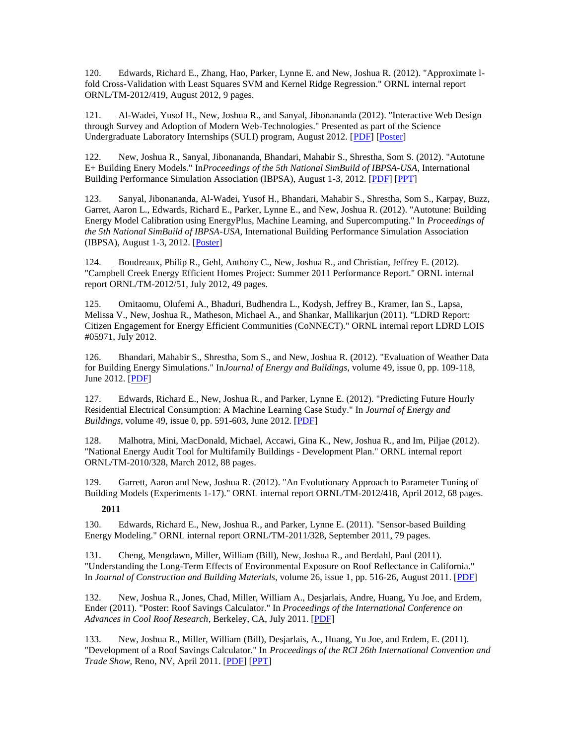120. Edwards, Richard E., Zhang, Hao, Parker, Lynne E. and New, Joshua R. (2012). "Approximate lfold Cross-Validation with Least Squares SVM and Kernel Ridge Regression." ORNL internal report ORNL/TM-2012/419, August 2012, 9 pages.

121. Al-Wadei, Yusof H., New, Joshua R., and Sanyal, Jibonananda (2012). "Interactive Web Design through Survey and Adoption of Modern Web-Technologies." Presented as part of the Science Undergraduate Laboratory Internships (SULI) program, August 2012. [\[PDF\]](http://web.eecs.utk.edu/~new/publications/2012_Yusof_WebTech.pdf) [\[Poster\]](http://web.eecs.utk.edu/~new/publications/2012_Yusof_poster.pdf)

122. New, Joshua R., Sanyal, Jibonananda, Bhandari, Mahabir S., Shrestha, Som S. (2012). "Autotune E+ Building Enery Models." In*Proceedings of the 5th National SimBuild of IBPSA-USA*, International Building Performance Simulation Association (IBPSA), August 1-3, 2012. [\[PDF\]](http://web.eecs.utk.edu/~new/publications/2012_SimBuild.pdf) [\[PPT\]](http://web.eecs.utk.edu/~new/presentations/2012_SimBuild.pptx)

123. Sanyal, Jibonananda, Al-Wadei, Yusof H., Bhandari, Mahabir S., Shrestha, Som S., Karpay, Buzz, Garret, Aaron L., Edwards, Richard E., Parker, Lynne E., and New, Joshua R. (2012). "Autotune: Building Energy Model Calibration using EnergyPlus, Machine Learning, and Supercomputing." In *Proceedings of the 5th National SimBuild of IBPSA-USA*, International Building Performance Simulation Association (IBPSA), August 1-3, 2012. [\[Poster\]](http://web.eecs.utk.edu/~new/publications/2012_SimBuild_poster.pdf)

124. Boudreaux, Philip R., Gehl, Anthony C., New, Joshua R., and Christian, Jeffrey E. (2012). "Campbell Creek Energy Efficient Homes Project: Summer 2011 Performance Report." ORNL internal report ORNL/TM-2012/51, July 2012, 49 pages.

125. Omitaomu, Olufemi A., Bhaduri, Budhendra L., Kodysh, Jeffrey B., Kramer, Ian S., Lapsa, Melissa V., New, Joshua R., Matheson, Michael A., and Shankar, Mallikarjun (2011). "LDRD Report: Citizen Engagement for Energy Efficient Communities (CoNNECT)." ORNL internal report LDRD LOIS #05971, July 2012.

126. Bhandari, Mahabir S., Shrestha, Som S., and New, Joshua R. (2012). "Evaluation of Weather Data for Building Energy Simulations." In*Journal of Energy and Buildings*, volume 49, issue 0, pp. 109-118, June 2012. [\[PDF\]](http://web.eecs.utk.edu/~new/publications/2012_EandB_Weather.pdf)

127. Edwards, Richard E., New, Joshua R., and Parker, Lynne E. (2012). "Predicting Future Hourly Residential Electrical Consumption: A Machine Learning Case Study." In *Journal of Energy and Buildings*, volume 49, issue 0, pp. 591-603, June 2012. [\[PDF\]](http://web.eecs.utk.edu/~new/publications/2012_EandB_ML.pdf)

128. Malhotra, Mini, MacDonald, Michael, Accawi, Gina K., New, Joshua R., and Im, Piljae (2012). "National Energy Audit Tool for Multifamily Buildings - Development Plan." ORNL internal report ORNL/TM-2010/328, March 2012, 88 pages.

129. Garrett, Aaron and New, Joshua R. (2012). "An Evolutionary Approach to Parameter Tuning of Building Models (Experiments 1-17)." ORNL internal report ORNL/TM-2012/418, April 2012, 68 pages.

## **2011**

130. Edwards, Richard E., New, Joshua R., and Parker, Lynne E. (2011). "Sensor-based Building Energy Modeling." ORNL internal report ORNL/TM-2011/328, September 2011, 79 pages.

131. Cheng, Mengdawn, Miller, William (Bill), New, Joshua R., and Berdahl, Paul (2011). "Understanding the Long-Term Effects of Environmental Exposure on Roof Reflectance in California." In *Journal of Construction and Building Materials*, volume 26, issue 1, pp. 516-26, August 2011. [\[PDF\]](http://web.eecs.utk.edu/~new/publications/2011_ConstructionAndBuildingMaterials.pdf)

132. New, Joshua R., Jones, Chad, Miller, William A., Desjarlais, Andre, Huang, Yu Joe, and Erdem, Ender (2011). "Poster: Roof Savings Calculator." In *Proceedings of the International Conference on Advances in Cool Roof Research*, Berkeley, CA, July 2011. [\[PDF\]](http://web.eecs.utk.edu/~new/publications/2011_CoolRoofWorkshop_poster.pdf)

133. New, Joshua R., Miller, William (Bill), Desjarlais, A., Huang, Yu Joe, and Erdem, E. (2011). "Development of a Roof Savings Calculator." In *Proceedings of the RCI 26th International Convention and Trade Show*, Reno, NV, April 2011. [\[PDF\]](http://web.eecs.utk.edu/~new/publications/2011_RCI.pdf) [\[PPT\]](http://web.eecs.utk.edu/~new/presentations/2011_RCI.ppt)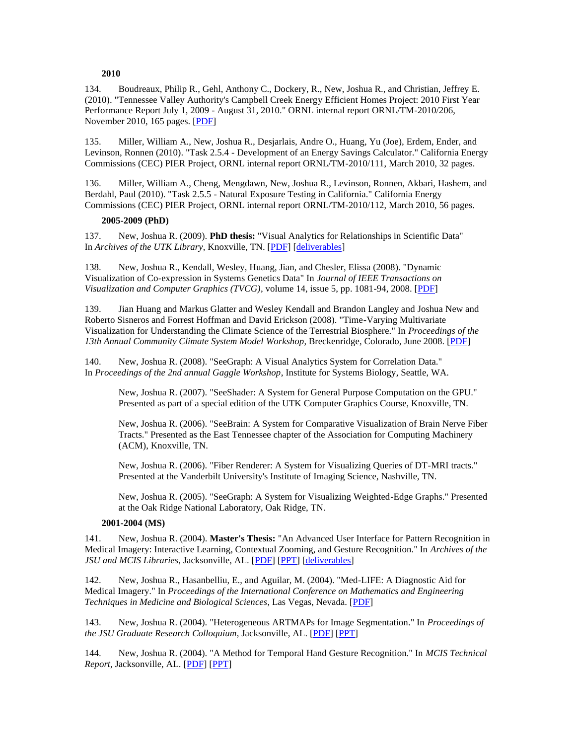#### **2010**

134. Boudreaux, Philip R., Gehl, Anthony C., Dockery, R., New, Joshua R., and Christian, Jeffrey E. (2010). "Tennessee Valley Authority's Campbell Creek Energy Efficient Homes Project: 2010 First Year Performance Report July 1, 2009 - August 31, 2010." ORNL internal report ORNL/TM-2010/206, November 2010, 165 pages. [\[PDF\]](http://info.ornl.gov/sites/publications/files/pub26374.pdf)

135. Miller, William A., New, Joshua R., Desjarlais, Andre O., Huang, Yu (Joe), Erdem, Ender, and Levinson, Ronnen (2010). "Task 2.5.4 - Development of an Energy Savings Calculator." California Energy Commissions (CEC) PIER Project, ORNL internal report ORNL/TM-2010/111, March 2010, 32 pages.

136. Miller, William A., Cheng, Mengdawn, New, Joshua R., Levinson, Ronnen, Akbari, Hashem, and Berdahl, Paul (2010). "Task 2.5.5 - Natural Exposure Testing in California." California Energy Commissions (CEC) PIER Project, ORNL internal report ORNL/TM-2010/112, March 2010, 56 pages.

#### **2005-2009 (PhD)**

137. New, Joshua R. (2009). **PhD thesis:** "Visual Analytics for Relationships in Scientific Data" In *Archives of the UTK Library*, Knoxville, TN. [\[PDF\]](http://web.eecs.utk.edu/~new/thesis/deliverables/10/thesis.pdf) [\[deliverables\]](http://web.eecs.utk.edu/~new/thesis/)

138. New, Joshua R., Kendall, Wesley, Huang, Jian, and Chesler, Elissa (2008). "Dynamic Visualization of Co-expression in Systems Genetics Data" In *Journal of IEEE Transactions on Visualization and Computer Graphics (TVCG)*, volume 14, issue 5, pp. 1081-94, 2008. [\[PDF\]](http://web.eecs.utk.edu/~new/thesis/deliverables/4/NewEtAl-TVCG08.pdf)

139. Jian Huang and Markus Glatter and Wesley Kendall and Brandon Langley and Joshua New and Roberto Sisneros and Forrest Hoffman and David Erickson (2008). "Time-Varying Multivariate Visualization for Understanding the Climate Science of the Terrestrial Biosphere." In *Proceedings of the 13th Annual Community Climate System Model Workshop*, Breckenridge, Colorado, June 2008. [\[PDF\]](http://web.eecs.utk.edu/~new/publications/ccsm08.pdf)

140. New, Joshua R. (2008). "SeeGraph: A Visual Analytics System for Correlation Data." In *Proceedings of the 2nd annual Gaggle Workshop*, Institute for Systems Biology, Seattle, WA.

New, Joshua R. (2007). "SeeShader: A System for General Purpose Computation on the GPU." Presented as part of a special edition of the UTK Computer Graphics Course, Knoxville, TN.

New, Joshua R. (2006). "SeeBrain: A System for Comparative Visualization of Brain Nerve Fiber Tracts." Presented as the East Tennessee chapter of the Association for Computing Machinery (ACM), Knoxville, TN.

New, Joshua R. (2006). "Fiber Renderer: A System for Visualizing Queries of DT-MRI tracts." Presented at the Vanderbilt University's Institute of Imaging Science, Nashville, TN.

New, Joshua R. (2005). "SeeGraph: A System for Visualizing Weighted-Edge Graphs." Presented at the Oak Ridge National Laboratory, Oak Ridge, TN.

#### **2001-2004 (MS)**

141. New, Joshua R. (2004). **Master's Thesis:** "An Advanced User Interface for Pattern Recognition in Medical Imagery: Interactive Learning, Contextual Zooming, and Gesture Recognition." In *Archives of the JSU and MCIS Libraries*, Jacksonville, AL. [\[PDF\]](http://web.eecs.utk.edu/~new/publications/New_MSThesis.pdf) [\[PPT\]](http://web.eecs.utk.edu/~new/presentations/New-ShortMSDefense-StudioSummaryE.ppt) [\[deliverables\]](http://ksl.jsu.edu/newj/studio/)

142. New, Joshua R., Hasanbelliu, E., and Aguilar, M. (2004). "Med-LIFE: A Diagnostic Aid for Medical Imagery." In *Proceedings of the International Conference on Mathematics and Engineering Techniques in Medicine and Biological Sciences*, Las Vegas, Nevada. [\[PDF\]](http://web.eecs.utk.edu/~new/publications/NewEtAl-METMBS04.pdf)

143. New, Joshua R. (2004). "Heterogeneous ARTMAPs for Image Segmentation." In *Proceedings of the JSU Graduate Research Colloquium*, Jacksonville, AL. [\[PDF\]](http://web.eecs.utk.edu/~new/publications/New-TechReportLearning.pdf) [\[PPT\]](http://web.eecs.utk.edu/~new/presentations/JSUColl04-ZoomLearn.ppt)

144. New, Joshua R. (2004). "A Method for Temporal Hand Gesture Recognition." In *MCIS Technical Report*, Jacksonville, AL. [\[PDF\]](http://web.eecs.utk.edu/~new/publications/New-TechReportTempGest.pdf) [\[PPT\]](http://web.eecs.utk.edu/~new/presentations/JSUColl04-TempGestRec.ppt)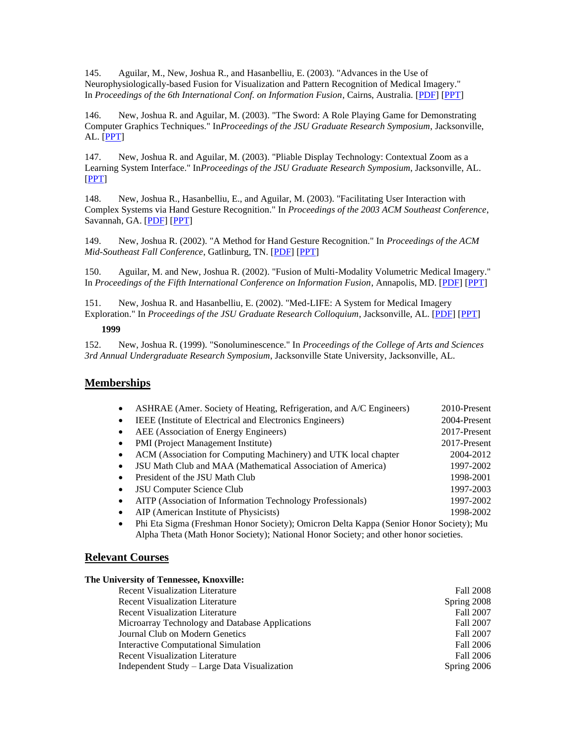145. Aguilar, M., New, Joshua R., and Hasanbelliu, E. (2003). "Advances in the Use of Neurophysiologically-based Fusion for Visualization and Pattern Recognition of Medical Imagery." In *Proceedings of the 6th International Conf. on Information Fusion*, Cairns, Australia. [\[PDF\]](http://web.eecs.utk.edu/~new/publications/ISIS2003.pdf) [\[PPT\]](http://web.eecs.utk.edu/~new/presentations/Fusion2003.ppt)

146. New, Joshua R. and Aguilar, M. (2003). "The Sword: A Role Playing Game for Demonstrating Computer Graphics Techniques." In*Proceedings of the JSU Graduate Research Symposium*, Jacksonville, AL. [\[PPT\]](http://web.eecs.utk.edu/~new/presentations/JSUColl03-TheSwordD.ppt)

147. New, Joshua R. and Aguilar, M. (2003). "Pliable Display Technology: Contextual Zoom as a Learning System Interface." In*Proceedings of the JSU Graduate Research Symposium*, Jacksonville, AL. [\[PPT\]](http://web.eecs.utk.edu/~new/presentations/JSUColl03-ContextZoom.ppt)

148. New, Joshua R., Hasanbelliu, E., and Aguilar, M. (2003). "Facilitating User Interaction with Complex Systems via Hand Gesture Recognition." In *Proceedings of the 2003 ACM Southeast Conference*, Savannah, GA. [\[PDF\]](http://web.eecs.utk.edu/~new/publications/NewEtAl-ACMSE2003%20(Sat%20Revision).pdf) [\[PPT\]](http://web.eecs.utk.edu/~new/presentations/NewEtAl-ACMSE03.ppt)

149. New, Joshua R. (2002). "A Method for Hand Gesture Recognition." In *Proceedings of the ACM Mid-Southeast Fall Conference*, Gatlinburg, TN. [\[PDF\]](http://web.eecs.utk.edu/~new/publications/NewACMMidSE2002.pdf) [\[PPT\]](http://web.eecs.utk.edu/~new/presentations/ACMMidSE03CompVision-Thorough.ppt)

150. Aguilar, M. and New, Joshua R. (2002). "Fusion of Multi-Modality Volumetric Medical Imagery." In *Proceedings of the Fifth International Conference on Information Fusion*, Annapolis, MD. [\[PDF\]](http://web.eecs.utk.edu/~new/publications/AguilarNew-ICIF2002.pdf) [\[PPT\]](http://web.eecs.utk.edu/~new/presentations/ICIF2002-3DShunt.ppt)

151. New, Joshua R. and Hasanbelliu, E. (2002). "Med-LIFE: A System for Medical Imagery Exploration." In *Proceedings of the JSU Graduate Research Colloquium*, Jacksonville, AL. [\[PDF\]](http://web.eecs.utk.edu/~new/publications/NewHasan-Med-LIFE_TechReport.pdf) [\[PPT\]](http://web.eecs.utk.edu/~new/presentations/MCISTech02-Med-LIFE_TechReport.ppt)

## **1999**

152. New, Joshua R. (1999). "Sonoluminescence." In *Proceedings of the College of Arts and Sciences 3rd Annual Undergraduate Research Symposium*, Jacksonville State University, Jacksonville, AL.

## **Memberships**

|           | ASHRAE (Amer. Society of Heating, Refrigeration, and A/C Engineers) | 2010-Present |
|-----------|---------------------------------------------------------------------|--------------|
|           | IEEE (Institute of Electrical and Electronics Engineers)            | 2004-Present |
| $\bullet$ | AEE (Association of Energy Engineers)                               | 2017-Present |
| $\bullet$ | PMI (Project Management Institute)                                  | 2017-Present |
|           | ACM (Association for Computing Machinery) and UTK local chapter     | 2004-2012    |
|           | JSU Math Club and MAA (Mathematical Association of America)         | 1997-2002    |
| $\bullet$ | President of the JSU Math Club                                      | 1998-2001    |
|           | JSU Computer Science Club                                           | 1997-2003    |
|           | AITP (Association of Information Technology Professionals)          | 1997-2002    |
|           | AIP (American Institute of Physicists)                              | 1998-2002    |
|           |                                                                     |              |

• Phi Eta Sigma (Freshman Honor Society); Omicron Delta Kappa (Senior Honor Society); Mu Alpha Theta (Math Honor Society); National Honor Society; and other honor societies.

## **Relevant Courses**

## **The University of Tennessee, Knoxville:**

| <b>Recent Visualization Literature</b>          | <b>Fall 2008</b> |
|-------------------------------------------------|------------------|
| <b>Recent Visualization Literature</b>          | Spring 2008      |
| <b>Recent Visualization Literature</b>          | Fall 2007        |
| Microarray Technology and Database Applications | Fall 2007        |
| Journal Club on Modern Genetics                 | Fall 2007        |
| Interactive Computational Simulation            | <b>Fall 2006</b> |
| <b>Recent Visualization Literature</b>          | <b>Fall 2006</b> |
| Independent Study – Large Data Visualization    | Spring 2006      |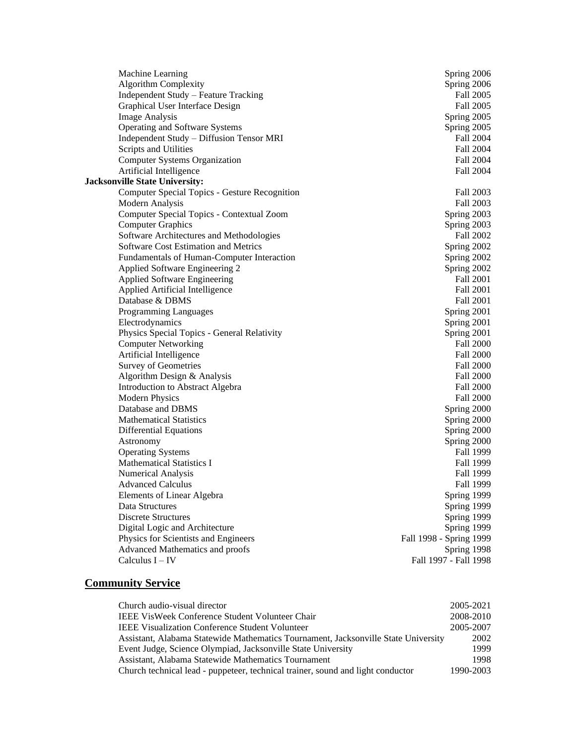| Spring 2006<br>Fall 2005<br>Fall 2005<br>Spring 2005<br>Spring 2005<br>Fall 2004<br>Fall 2004 |
|-----------------------------------------------------------------------------------------------|
|                                                                                               |
|                                                                                               |
|                                                                                               |
|                                                                                               |
|                                                                                               |
|                                                                                               |
|                                                                                               |
| Fall 2004                                                                                     |
| Fall 2004                                                                                     |
|                                                                                               |
| Fall 2003                                                                                     |
| Fall 2003                                                                                     |
| Spring 2003                                                                                   |
| Spring 2003                                                                                   |
| Fall 2002                                                                                     |
| Spring 2002                                                                                   |
| Spring 2002                                                                                   |
| Spring 2002                                                                                   |
| Fall 2001                                                                                     |
| Fall 2001                                                                                     |
| Fall 2001                                                                                     |
| Spring 2001                                                                                   |
| Spring 2001                                                                                   |
| Spring 2001                                                                                   |
| <b>Fall 2000</b>                                                                              |
| <b>Fall 2000</b>                                                                              |
| <b>Fall 2000</b>                                                                              |
| <b>Fall 2000</b>                                                                              |
| <b>Fall 2000</b>                                                                              |
| <b>Fall 2000</b>                                                                              |
| Spring 2000                                                                                   |
| Spring 2000                                                                                   |
| Spring 2000                                                                                   |
| Spring 2000                                                                                   |
| Fall 1999                                                                                     |
| Fall 1999                                                                                     |
| Fall 1999                                                                                     |
| Fall 1999                                                                                     |
| Spring 1999                                                                                   |
| Spring 1999                                                                                   |
| Spring 1999                                                                                   |
| Spring 1999                                                                                   |
| Fall 1998 - Spring 1999                                                                       |
|                                                                                               |
| Spring 1998                                                                                   |
|                                                                                               |

## **Community Service**

| Church audio-visual director                                                       | 2005-2021 |
|------------------------------------------------------------------------------------|-----------|
| IEEE VisWeek Conference Student Volunteer Chair                                    | 2008-2010 |
| <b>IEEE Visualization Conference Student Volunteer</b>                             | 2005-2007 |
| Assistant, Alabama Statewide Mathematics Tournament, Jacksonville State University | 2002      |
| Event Judge, Science Olympiad, Jacksonville State University                       | 1999      |
| Assistant, Alabama Statewide Mathematics Tournament                                | 1998      |
| Church technical lead - puppeteer, technical trainer, sound and light conductor    | 1990-2003 |